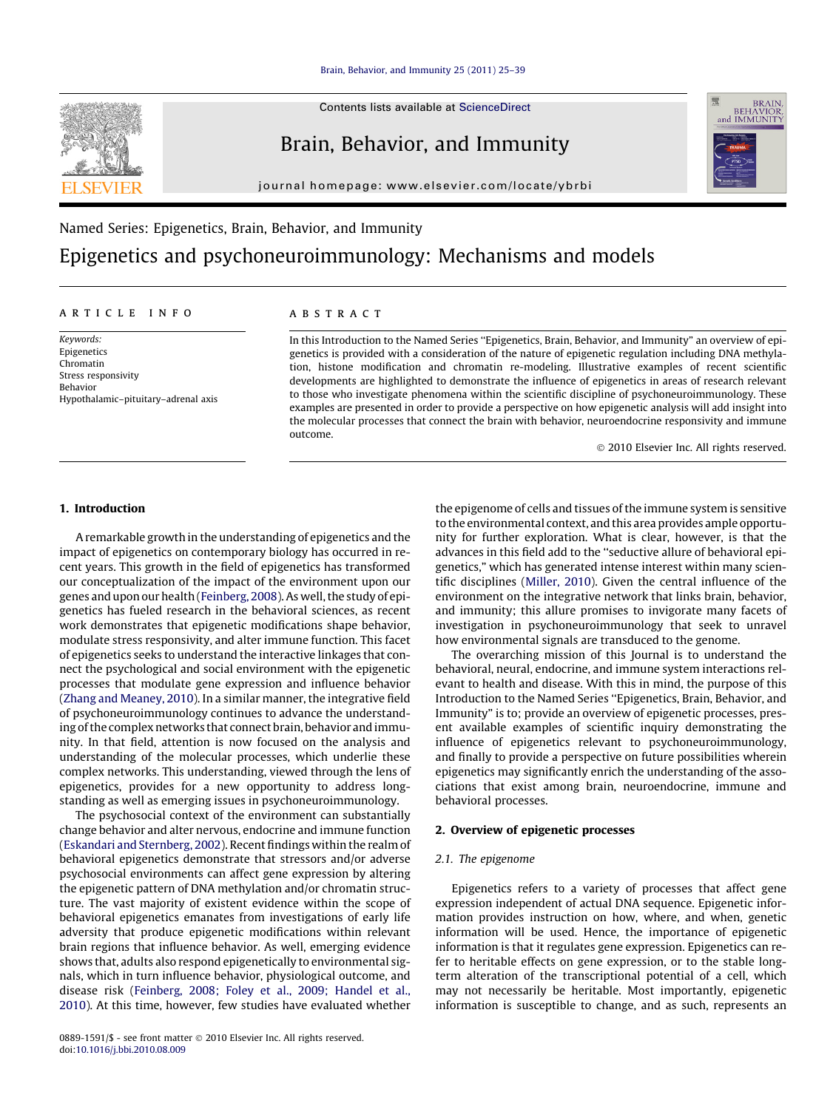## [Brain, Behavior, and Immunity 25 \(2011\) 25–39](http://dx.doi.org/10.1016/j.bbi.2010.08.009)



Contents lists available at [ScienceDirect](http://www.sciencedirect.com/science/journal/08891591)

# Brain, Behavior, and Immunity

journal homepage: [www.elsevier.com/locate/ybrbi](http://www.elsevier.com/locate/ybrbi)

# Named Series: Epigenetics, Brain, Behavior, and Immunity Epigenetics and psychoneuroimmunology: Mechanisms and models

#### article info

Keywords: Epigenetics Chromatin Stress responsivity Behavior Hypothalamic–pituitary–adrenal axis

## ABSTRACT

In this Introduction to the Named Series ''Epigenetics, Brain, Behavior, and Immunity" an overview of epigenetics is provided with a consideration of the nature of epigenetic regulation including DNA methylation, histone modification and chromatin re-modeling. Illustrative examples of recent scientific developments are highlighted to demonstrate the influence of epigenetics in areas of research relevant to those who investigate phenomena within the scientific discipline of psychoneuroimmunology. These examples are presented in order to provide a perspective on how epigenetic analysis will add insight into the molecular processes that connect the brain with behavior, neuroendocrine responsivity and immune outcome.

- 2010 Elsevier Inc. All rights reserved.

#### 1. Introduction

A remarkable growth in the understanding of epigenetics and the impact of epigenetics on contemporary biology has occurred in recent years. This growth in the field of epigenetics has transformed our conceptualization of the impact of the environment upon our genes and upon our health ([Feinberg, 2008](#page-12-0)). As well, the study of epigenetics has fueled research in the behavioral sciences, as recent work demonstrates that epigenetic modifications shape behavior, modulate stress responsivity, and alter immune function. This facet of epigenetics seeks to understand the interactive linkages that connect the psychological and social environment with the epigenetic processes that modulate gene expression and influence behavior ([Zhang and Meaney, 2010](#page-13-0)). In a similar manner, the integrative field of psychoneuroimmunology continues to advance the understanding of the complex networks that connect brain, behavior and immunity. In that field, attention is now focused on the analysis and understanding of the molecular processes, which underlie these complex networks. This understanding, viewed through the lens of epigenetics, provides for a new opportunity to address longstanding as well as emerging issues in psychoneuroimmunology.

The psychosocial context of the environment can substantially change behavior and alter nervous, endocrine and immune function ([Eskandari and Sternberg, 2002](#page-12-0)). Recent findings within the realm of behavioral epigenetics demonstrate that stressors and/or adverse psychosocial environments can affect gene expression by altering the epigenetic pattern of DNA methylation and/or chromatin structure. The vast majority of existent evidence within the scope of behavioral epigenetics emanates from investigations of early life adversity that produce epigenetic modifications within relevant brain regions that influence behavior. As well, emerging evidence shows that, adults also respond epigenetically to environmental signals, which in turn influence behavior, physiological outcome, and disease risk [\(Feinberg, 2008; Foley et al., 2009; Handel et al.,](#page-12-0) [2010](#page-12-0)). At this time, however, few studies have evaluated whether

the epigenome of cells and tissues of the immune system is sensitive to the environmental context, and this area provides ample opportunity for further exploration. What is clear, however, is that the advances in this field add to the ''seductive allure of behavioral epigenetics," which has generated intense interest within many scientific disciplines ([Miller, 2010\)](#page-12-0). Given the central influence of the environment on the integrative network that links brain, behavior, and immunity; this allure promises to invigorate many facets of investigation in psychoneuroimmunology that seek to unravel how environmental signals are transduced to the genome.

The overarching mission of this Journal is to understand the behavioral, neural, endocrine, and immune system interactions relevant to health and disease. With this in mind, the purpose of this Introduction to the Named Series ''Epigenetics, Brain, Behavior, and Immunity" is to; provide an overview of epigenetic processes, present available examples of scientific inquiry demonstrating the influence of epigenetics relevant to psychoneuroimmunology, and finally to provide a perspective on future possibilities wherein epigenetics may significantly enrich the understanding of the associations that exist among brain, neuroendocrine, immune and behavioral processes.

## 2. Overview of epigenetic processes

## 2.1. The epigenome

Epigenetics refers to a variety of processes that affect gene expression independent of actual DNA sequence. Epigenetic information provides instruction on how, where, and when, genetic information will be used. Hence, the importance of epigenetic information is that it regulates gene expression. Epigenetics can refer to heritable effects on gene expression, or to the stable longterm alteration of the transcriptional potential of a cell, which may not necessarily be heritable. Most importantly, epigenetic information is susceptible to change, and as such, represents an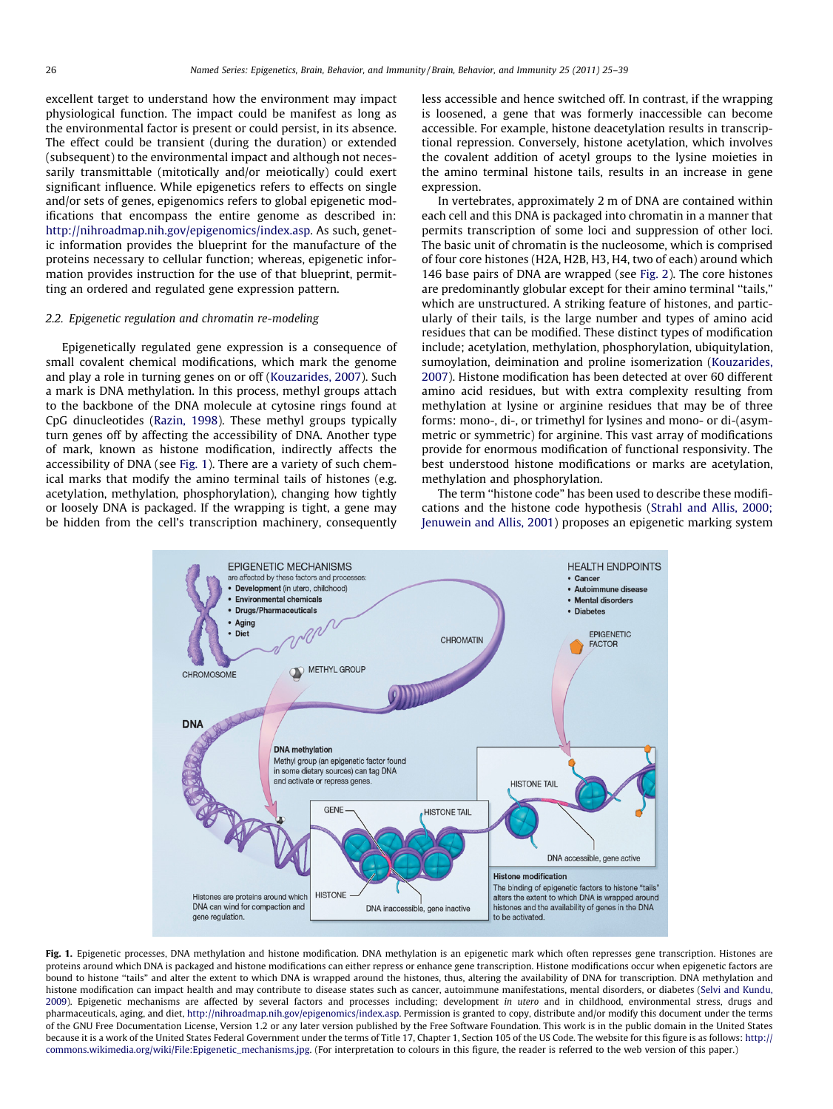excellent target to understand how the environment may impact physiological function. The impact could be manifest as long as the environmental factor is present or could persist, in its absence. The effect could be transient (during the duration) or extended (subsequent) to the environmental impact and although not necessarily transmittable (mitotically and/or meiotically) could exert significant influence. While epigenetics refers to effects on single and/or sets of genes, epigenomics refers to global epigenetic modifications that encompass the entire genome as described in: [http://nihroadmap.nih.gov/epigenomics/index.asp.](http://nihroadmap.nih.gov/epigenomics/index.asp) As such, genetic information provides the blueprint for the manufacture of the proteins necessary to cellular function; whereas, epigenetic information provides instruction for the use of that blueprint, permitting an ordered and regulated gene expression pattern.

## 2.2. Epigenetic regulation and chromatin re-modeling

Epigenetically regulated gene expression is a consequence of small covalent chemical modifications, which mark the genome and play a role in turning genes on or off [\(Kouzarides, 2007](#page-12-0)). Such a mark is DNA methylation. In this process, methyl groups attach to the backbone of the DNA molecule at cytosine rings found at CpG dinucleotides [\(Razin, 1998\)](#page-13-0). These methyl groups typically turn genes off by affecting the accessibility of DNA. Another type of mark, known as histone modification, indirectly affects the accessibility of DNA (see Fig. 1). There are a variety of such chemical marks that modify the amino terminal tails of histones (e.g. acetylation, methylation, phosphorylation), changing how tightly or loosely DNA is packaged. If the wrapping is tight, a gene may be hidden from the cell's transcription machinery, consequently less accessible and hence switched off. In contrast, if the wrapping is loosened, a gene that was formerly inaccessible can become accessible. For example, histone deacetylation results in transcriptional repression. Conversely, histone acetylation, which involves the covalent addition of acetyl groups to the lysine moieties in the amino terminal histone tails, results in an increase in gene expression.

In vertebrates, approximately 2 m of DNA are contained within each cell and this DNA is packaged into chromatin in a manner that permits transcription of some loci and suppression of other loci. The basic unit of chromatin is the nucleosome, which is comprised of four core histones (H2A, H2B, H3, H4, two of each) around which 146 base pairs of DNA are wrapped (see [Fig. 2](#page-2-0)). The core histones are predominantly globular except for their amino terminal ''tails," which are unstructured. A striking feature of histones, and particularly of their tails, is the large number and types of amino acid residues that can be modified. These distinct types of modification include; acetylation, methylation, phosphorylation, ubiquitylation, sumoylation, deimination and proline isomerization [\(Kouzarides,](#page-12-0) [2007\)](#page-12-0). Histone modification has been detected at over 60 different amino acid residues, but with extra complexity resulting from methylation at lysine or arginine residues that may be of three forms: mono-, di-, or trimethyl for lysines and mono- or di-(asymmetric or symmetric) for arginine. This vast array of modifications provide for enormous modification of functional responsivity. The best understood histone modifications or marks are acetylation, methylation and phosphorylation.

The term ''histone code" has been used to describe these modifications and the histone code hypothesis ([Strahl and Allis, 2000;](#page-13-0) [Jenuwein and Allis, 2001](#page-13-0)) proposes an epigenetic marking system



Fig. 1. Epigenetic processes, DNA methylation and histone modification. DNA methylation is an epigenetic mark which often represses gene transcription. Histones are proteins around which DNA is packaged and histone modifications can either repress or enhance gene transcription. Histone modifications occur when epigenetic factors are bound to histone ''tails" and alter the extent to which DNA is wrapped around the histones, thus, altering the availability of DNA for transcription. DNA methylation and histone modification can impact health and may contribute to disease states such as cancer, autoimmune manifestations, mental disorders, or diabetes [\(Selvi and Kundu,](#page-13-0) [2009\)](#page-13-0). Epigenetic mechanisms are affected by several factors and processes including; development in utero and in childhood, environmental stress, drugs and pharmaceuticals, aging, and diet, [http://nihroadmap.nih.gov/epigenomics/index.asp.](http://nihroadmap.nih.gov/epigenomics/index.asp) Permission is granted to copy, distribute and/or modify this document under the terms of the GNU Free Documentation License, Version 1.2 or any later version published by the Free Software Foundation. This work is in the public domain in the United States because it is a work of the United States Federal Government under the terms of Title 17, Chapter 1, Section 105 of the US Code. The website for this figure is as follows: [http://](http://commons.wikimedia.org/wiki/File:Epigenetic_mechanisms.jpg) [commons.wikimedia.org/wiki/File:Epigenetic\\_mechanisms.jpg](http://commons.wikimedia.org/wiki/File:Epigenetic_mechanisms.jpg). (For interpretation to colours in this figure, the reader is referred to the web version of this paper.)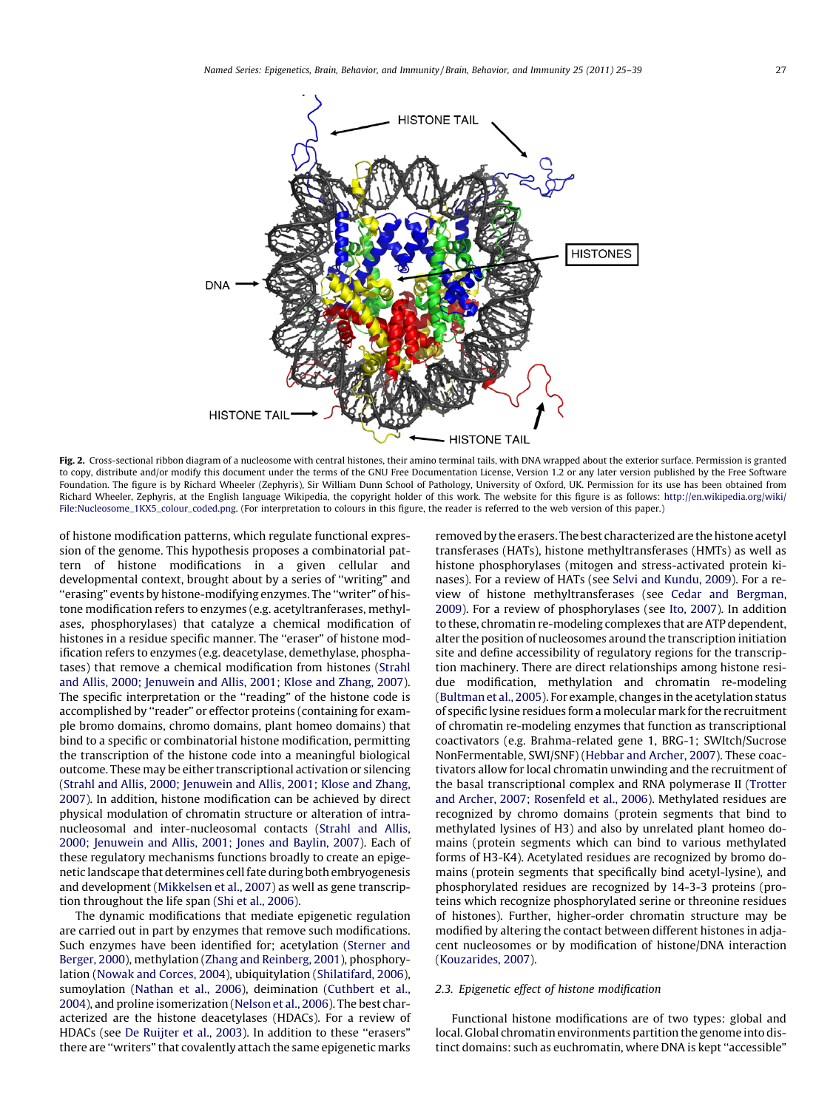<span id="page-2-0"></span>

Fig. 2. Cross-sectional ribbon diagram of a nucleosome with central histones, their amino terminal tails, with DNA wrapped about the exterior surface. Permission is granted to copy, distribute and/or modify this document under the terms of the GNU Free Documentation License, Version 1.2 or any later version published by the Free Software Foundation. The figure is by Richard Wheeler (Zephyris), Sir William Dunn School of Pathology, University of Oxford, UK. Permission for its use has been obtained from Richard Wheeler, Zephyris, at the English language Wikipedia, the copyright holder of this work. The website for this figure is as follows: [http://en.wikipedia.org/wiki/](http://en.wikipedia.org/wiki/File:Nucleosome_1KX5_colour_coded.png) [File:Nucleosome\\_1KX5\\_colour\\_coded.png.](http://en.wikipedia.org/wiki/File:Nucleosome_1KX5_colour_coded.png) (For interpretation to colours in this figure, the reader is referred to the web version of this paper.)

of histone modification patterns, which regulate functional expression of the genome. This hypothesis proposes a combinatorial pattern of histone modifications in a given cellular and developmental context, brought about by a series of ''writing" and ''erasing" events by histone-modifying enzymes. The ''writer" of histone modification refers to enzymes (e.g. acetyltranferases, methylases, phosphorylases) that catalyze a chemical modification of histones in a residue specific manner. The "eraser" of histone modification refers to enzymes (e.g. deacetylase, demethylase, phosphatases) that remove a chemical modification from histones [\(Strahl](#page-13-0) [and Allis, 2000; Jenuwein and Allis, 2001; Klose and Zhang, 2007\)](#page-13-0). The specific interpretation or the "reading" of the histone code is accomplished by ''reader" or effector proteins (containing for example bromo domains, chromo domains, plant homeo domains) that bind to a specific or combinatorial histone modification, permitting the transcription of the histone code into a meaningful biological outcome. These may be either transcriptional activation or silencing ([Strahl and Allis, 2000; Jenuwein and Allis, 2001; Klose and Zhang,](#page-13-0) [2007](#page-13-0)). In addition, histone modification can be achieved by direct physical modulation of chromatin structure or alteration of intranucleosomal and inter-nucleosomal contacts ([Strahl and Allis,](#page-13-0) [2000; Jenuwein and Allis, 2001; Jones and Baylin, 2007](#page-13-0)). Each of these regulatory mechanisms functions broadly to create an epigenetic landscape that determines cell fate during both embryogenesis and development ([Mikkelsen et al., 2007](#page-12-0)) as well as gene transcription throughout the life span ([Shi et al., 2006](#page-13-0)).

The dynamic modifications that mediate epigenetic regulation are carried out in part by enzymes that remove such modifications. Such enzymes have been identified for; acetylation ([Sterner and](#page-13-0) [Berger, 2000](#page-13-0)), methylation ([Zhang and Reinberg, 2001](#page-13-0)), phosphorylation [\(Nowak and Corces, 2004](#page-13-0)), ubiquitylation ([Shilatifard, 2006\)](#page-13-0), sumoylation ([Nathan et al., 2006\)](#page-13-0), deimination [\(Cuthbert et al.,](#page-11-0) [2004](#page-11-0)), and proline isomerization ([Nelson et al., 2006\)](#page-13-0). The best characterized are the histone deacetylases (HDACs). For a review of HDACs (see [De Ruijter et al., 2003](#page-11-0)). In addition to these ''erasers" there are ''writers" that covalently attach the same epigenetic marks removed by the erasers. The best characterized are the histone acetyl transferases (HATs), histone methyltransferases (HMTs) as well as histone phosphorylases (mitogen and stress-activated protein kinases). For a review of HATs (see [Selvi and Kundu, 2009](#page-13-0)). For a review of histone methyltransferases (see [Cedar and Bergman,](#page-11-0) [2009](#page-11-0)). For a review of phosphorylases (see [Ito, 2007\)](#page-12-0). In addition to these, chromatin re-modeling complexes that are ATP dependent, alter the position of nucleosomes around the transcription initiation site and define accessibility of regulatory regions for the transcription machinery. There are direct relationships among histone residue modification, methylation and chromatin re-modeling ([Bultman et al., 2005\)](#page-11-0). For example, changes in the acetylation status of specific lysine residues form a molecular mark for the recruitment of chromatin re-modeling enzymes that function as transcriptional coactivators (e.g. Brahma-related gene 1, BRG-1; SWItch/Sucrose NonFermentable, SWI/SNF) ([Hebbar and Archer, 2007](#page-12-0)). These coactivators allow for local chromatin unwinding and the recruitment of the basal transcriptional complex and RNA polymerase II [\(Trotter](#page-13-0) [and Archer, 2007; Rosenfeld et al., 2006](#page-13-0)). Methylated residues are recognized by chromo domains (protein segments that bind to methylated lysines of H3) and also by unrelated plant homeo domains (protein segments which can bind to various methylated forms of H3-K4). Acetylated residues are recognized by bromo domains (protein segments that specifically bind acetyl-lysine), and phosphorylated residues are recognized by 14-3-3 proteins (proteins which recognize phosphorylated serine or threonine residues of histones). Further, higher-order chromatin structure may be modified by altering the contact between different histones in adjacent nucleosomes or by modification of histone/DNA interaction ([Kouzarides, 2007](#page-12-0)).

# 2.3. Epigenetic effect of histone modification

Functional histone modifications are of two types: global and local. Global chromatin environments partition the genome into distinct domains: such as euchromatin, where DNA is kept ''accessible"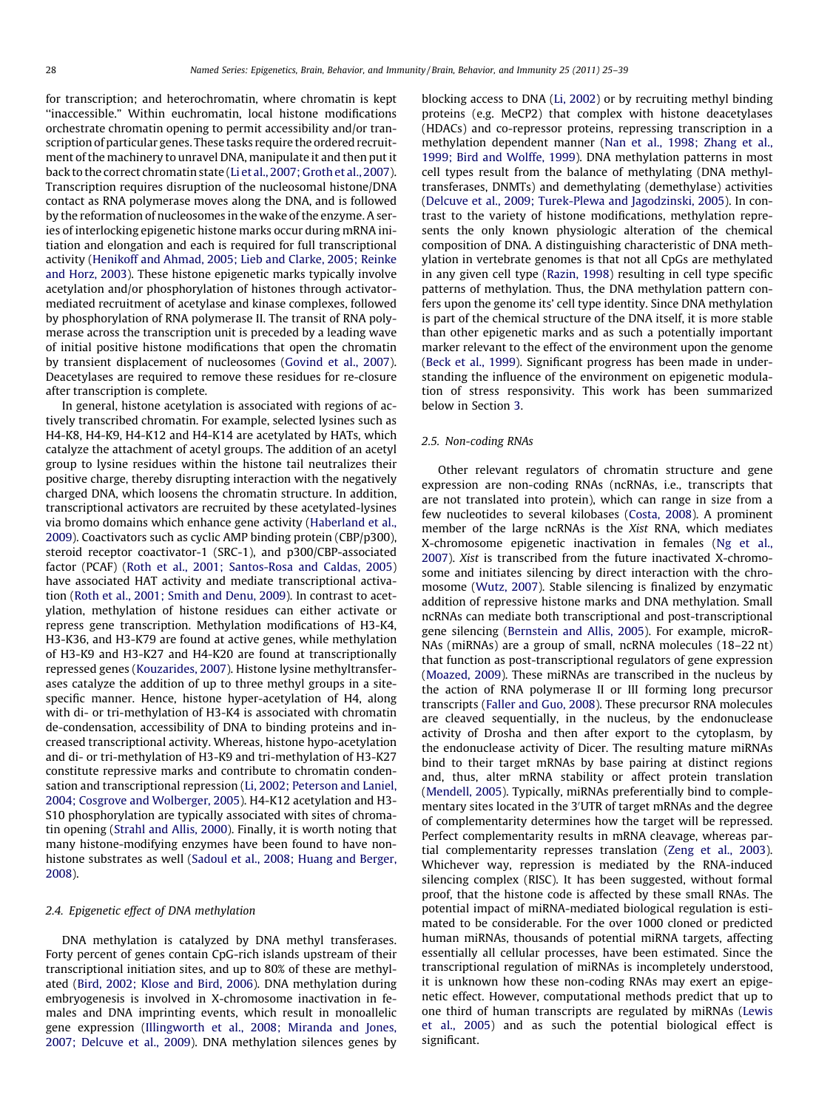for transcription; and heterochromatin, where chromatin is kept ''inaccessible." Within euchromatin, local histone modifications orchestrate chromatin opening to permit accessibility and/or transcription of particular genes. These tasks require the ordered recruitment of the machinery to unravel DNA, manipulate it and then put it back to the correct chromatin state ([Li et al., 2007; Groth et al., 2007\)](#page-12-0). Transcription requires disruption of the nucleosomal histone/DNA contact as RNA polymerase moves along the DNA, and is followed by the reformation of nucleosomes in the wake of the enzyme. A series of interlocking epigenetic histone marks occur during mRNA initiation and elongation and each is required for full transcriptional activity [\(Henikoff and Ahmad, 2005; Lieb and Clarke, 2005; Reinke](#page-12-0) [and Horz, 2003\)](#page-12-0). These histone epigenetic marks typically involve acetylation and/or phosphorylation of histones through activatormediated recruitment of acetylase and kinase complexes, followed by phosphorylation of RNA polymerase II. The transit of RNA polymerase across the transcription unit is preceded by a leading wave of initial positive histone modifications that open the chromatin by transient displacement of nucleosomes ([Govind et al., 2007\)](#page-12-0). Deacetylases are required to remove these residues for re-closure after transcription is complete.

In general, histone acetylation is associated with regions of actively transcribed chromatin. For example, selected lysines such as H4-K8, H4-K9, H4-K12 and H4-K14 are acetylated by HATs, which catalyze the attachment of acetyl groups. The addition of an acetyl group to lysine residues within the histone tail neutralizes their positive charge, thereby disrupting interaction with the negatively charged DNA, which loosens the chromatin structure. In addition, transcriptional activators are recruited by these acetylated-lysines via bromo domains which enhance gene activity ([Haberland et al.,](#page-12-0) [2009\)](#page-12-0). Coactivators such as cyclic AMP binding protein (CBP/p300), steroid receptor coactivator-1 (SRC-1), and p300/CBP-associated factor (PCAF) ([Roth et al., 2001; Santos-Rosa and Caldas, 2005\)](#page-13-0) have associated HAT activity and mediate transcriptional activation [\(Roth et al., 2001; Smith and Denu, 2009](#page-13-0)). In contrast to acetylation, methylation of histone residues can either activate or repress gene transcription. Methylation modifications of H3-K4, H3-K36, and H3-K79 are found at active genes, while methylation of H3-K9 and H3-K27 and H4-K20 are found at transcriptionally repressed genes ([Kouzarides, 2007\)](#page-12-0). Histone lysine methyltransferases catalyze the addition of up to three methyl groups in a sitespecific manner. Hence, histone hyper-acetylation of H4, along with di- or tri-methylation of H3-K4 is associated with chromatin de-condensation, accessibility of DNA to binding proteins and increased transcriptional activity. Whereas, histone hypo-acetylation and di- or tri-methylation of H3-K9 and tri-methylation of H3-K27 constitute repressive marks and contribute to chromatin condensation and transcriptional repression [\(Li, 2002; Peterson and Laniel,](#page-12-0) [2004; Cosgrove and Wolberger, 2005\)](#page-12-0). H4-K12 acetylation and H3- S10 phosphorylation are typically associated with sites of chromatin opening ([Strahl and Allis, 2000\)](#page-13-0). Finally, it is worth noting that many histone-modifying enzymes have been found to have nonhistone substrates as well [\(Sadoul et al., 2008; Huang and Berger,](#page-13-0) [2008\)](#page-13-0).

#### 2.4. Epigenetic effect of DNA methylation

DNA methylation is catalyzed by DNA methyl transferases. Forty percent of genes contain CpG-rich islands upstream of their transcriptional initiation sites, and up to 80% of these are methylated [\(Bird, 2002; Klose and Bird, 2006](#page-11-0)). DNA methylation during embryogenesis is involved in X-chromosome inactivation in females and DNA imprinting events, which result in monoallelic gene expression [\(Illingworth et al., 2008; Miranda and Jones,](#page-12-0) [2007; Delcuve et al., 2009](#page-12-0)). DNA methylation silences genes by

blocking access to DNA [\(Li, 2002](#page-12-0)) or by recruiting methyl binding proteins (e.g. MeCP2) that complex with histone deacetylases (HDACs) and co-repressor proteins, repressing transcription in a methylation dependent manner ([Nan et al., 1998; Zhang et al.,](#page-13-0) [1999; Bird and Wolffe, 1999\)](#page-13-0). DNA methylation patterns in most cell types result from the balance of methylating (DNA methyltransferases, DNMTs) and demethylating (demethylase) activities ([Delcuve et al., 2009; Turek-Plewa and Jagodzinski, 2005](#page-11-0)). In contrast to the variety of histone modifications, methylation represents the only known physiologic alteration of the chemical composition of DNA. A distinguishing characteristic of DNA methylation in vertebrate genomes is that not all CpGs are methylated in any given cell type [\(Razin, 1998\)](#page-13-0) resulting in cell type specific patterns of methylation. Thus, the DNA methylation pattern confers upon the genome its' cell type identity. Since DNA methylation is part of the chemical structure of the DNA itself, it is more stable than other epigenetic marks and as such a potentially important marker relevant to the effect of the environment upon the genome ([Beck et al., 1999\)](#page-11-0). Significant progress has been made in understanding the influence of the environment on epigenetic modulation of stress responsivity. This work has been summarized below in Section 3.

#### 2.5. Non-coding RNAs

Other relevant regulators of chromatin structure and gene expression are non-coding RNAs (ncRNAs, i.e., transcripts that are not translated into protein), which can range in size from a few nucleotides to several kilobases ([Costa, 2008\)](#page-11-0). A prominent member of the large ncRNAs is the Xist RNA, which mediates X-chromosome epigenetic inactivation in females ([Ng et al.,](#page-13-0) [2007\)](#page-13-0). Xist is transcribed from the future inactivated X-chromosome and initiates silencing by direct interaction with the chromosome [\(Wutz, 2007\)](#page-13-0). Stable silencing is finalized by enzymatic addition of repressive histone marks and DNA methylation. Small ncRNAs can mediate both transcriptional and post-transcriptional gene silencing [\(Bernstein and Allis, 2005\)](#page-11-0). For example, microR-NAs (miRNAs) are a group of small, ncRNA molecules (18–22 nt) that function as post-transcriptional regulators of gene expression ([Moazed, 2009](#page-12-0)). These miRNAs are transcribed in the nucleus by the action of RNA polymerase II or III forming long precursor transcripts ([Faller and Guo, 2008\)](#page-12-0). These precursor RNA molecules are cleaved sequentially, in the nucleus, by the endonuclease activity of Drosha and then after export to the cytoplasm, by the endonuclease activity of Dicer. The resulting mature miRNAs bind to their target mRNAs by base pairing at distinct regions and, thus, alter mRNA stability or affect protein translation ([Mendell, 2005](#page-12-0)). Typically, miRNAs preferentially bind to complementary sites located in the 3'UTR of target mRNAs and the degree of complementarity determines how the target will be repressed. Perfect complementarity results in mRNA cleavage, whereas partial complementarity represses translation [\(Zeng et al., 2003\)](#page-13-0). Whichever way, repression is mediated by the RNA-induced silencing complex (RISC). It has been suggested, without formal proof, that the histone code is affected by these small RNAs. The potential impact of miRNA-mediated biological regulation is estimated to be considerable. For the over 1000 cloned or predicted human miRNAs, thousands of potential miRNA targets, affecting essentially all cellular processes, have been estimated. Since the transcriptional regulation of miRNAs is incompletely understood, it is unknown how these non-coding RNAs may exert an epigenetic effect. However, computational methods predict that up to one third of human transcripts are regulated by miRNAs [\(Lewis](#page-12-0) [et al., 2005\)](#page-12-0) and as such the potential biological effect is significant.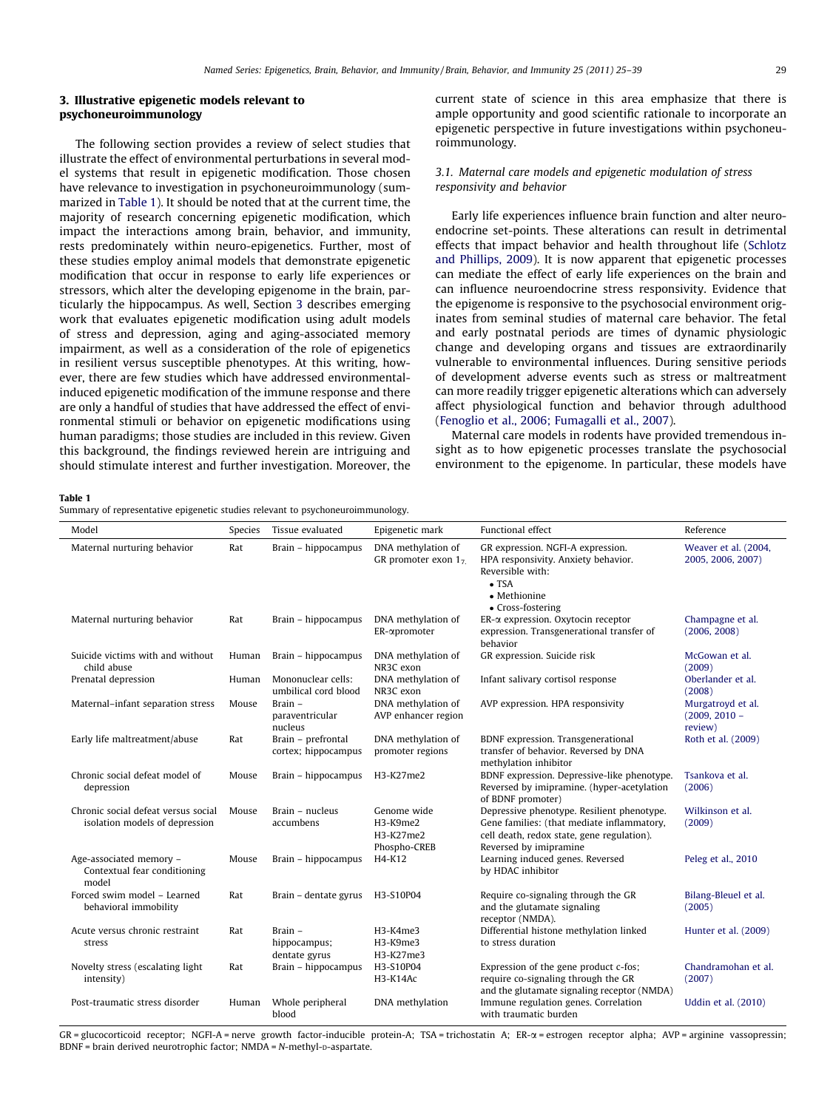## <span id="page-4-0"></span>3. Illustrative epigenetic models relevant to psychoneuroimmunology

The following section provides a review of select studies that illustrate the effect of environmental perturbations in several model systems that result in epigenetic modification. Those chosen have relevance to investigation in psychoneuroimmunology (summarized in Table 1). It should be noted that at the current time, the majority of research concerning epigenetic modification, which impact the interactions among brain, behavior, and immunity, rests predominately within neuro-epigenetics. Further, most of these studies employ animal models that demonstrate epigenetic modification that occur in response to early life experiences or stressors, which alter the developing epigenome in the brain, particularly the hippocampus. As well, Section 3 describes emerging work that evaluates epigenetic modification using adult models of stress and depression, aging and aging-associated memory impairment, as well as a consideration of the role of epigenetics in resilient versus susceptible phenotypes. At this writing, however, there are few studies which have addressed environmentalinduced epigenetic modification of the immune response and there are only a handful of studies that have addressed the effect of environmental stimuli or behavior on epigenetic modifications using human paradigms; those studies are included in this review. Given this background, the findings reviewed herein are intriguing and should stimulate interest and further investigation. Moreover, the current state of science in this area emphasize that there is ample opportunity and good scientific rationale to incorporate an epigenetic perspective in future investigations within psychoneuroimmunology.

## 3.1. Maternal care models and epigenetic modulation of stress responsivity and behavior

Early life experiences influence brain function and alter neuroendocrine set-points. These alterations can result in detrimental effects that impact behavior and health throughout life [\(Schlotz](#page-13-0) [and Phillips, 2009](#page-13-0)). It is now apparent that epigenetic processes can mediate the effect of early life experiences on the brain and can influence neuroendocrine stress responsivity. Evidence that the epigenome is responsive to the psychosocial environment originates from seminal studies of maternal care behavior. The fetal and early postnatal periods are times of dynamic physiologic change and developing organs and tissues are extraordinarily vulnerable to environmental influences. During sensitive periods of development adverse events such as stress or maltreatment can more readily trigger epigenetic alterations which can adversely affect physiological function and behavior through adulthood ([Fenoglio et al., 2006; Fumagalli et al., 2007](#page-12-0)).

Maternal care models in rodents have provided tremendous insight as to how epigenetic processes translate the psychosocial environment to the epigenome. In particular, these models have

#### Table 1

Summary of representative epigenetic studies relevant to psychoneuroimmunology.

| Model                                                                 | Species | Tissue evaluated                           | Epigenetic mark                                      | Functional effect                                                                                                                                                | Reference                                       |
|-----------------------------------------------------------------------|---------|--------------------------------------------|------------------------------------------------------|------------------------------------------------------------------------------------------------------------------------------------------------------------------|-------------------------------------------------|
| Maternal nurturing behavior                                           | Rat     | Brain - hippocampus                        | DNA methylation of<br>GR promoter exon $1_7$         | GR expression. NGFI-A expression.<br>HPA responsivity. Anxiety behavior.<br>Reversible with:<br>$\bullet$ TSA<br>• Methionine<br>• Cross-fostering               | Weaver et al. (2004,<br>2005, 2006, 2007)       |
| Maternal nurturing behavior                                           | Rat     | Brain - hippocampus                        | DNA methylation of<br>ER-αpromoter                   | ER-α expression. Oxytocin receptor<br>expression. Transgenerational transfer of<br>behavior                                                                      | Champagne et al.<br>(2006, 2008)                |
| Suicide victims with and without<br>child abuse                       | Human   | Brain - hippocampus                        | DNA methylation of<br>NR3C exon                      | GR expression. Suicide risk                                                                                                                                      | McGowan et al.<br>(2009)                        |
| Prenatal depression                                                   | Human   | Mononuclear cells:<br>umbilical cord blood | DNA methylation of<br>NR3C exon                      | Infant salivary cortisol response                                                                                                                                | Oberlander et al.<br>(2008)                     |
| Maternal-infant separation stress                                     | Mouse   | Brain $-$<br>paraventricular<br>nucleus    | DNA methylation of<br>AVP enhancer region            | AVP expression. HPA responsivity                                                                                                                                 | Murgatroyd et al.<br>$(2009, 2010 -$<br>review) |
| Early life maltreatment/abuse                                         | Rat     | Brain - prefrontal<br>cortex; hippocampus  | DNA methylation of<br>promoter regions               | BDNF expression. Transgenerational<br>transfer of behavior. Reversed by DNA<br>methylation inhibitor                                                             | Roth et al. (2009)                              |
| Chronic social defeat model of<br>depression                          | Mouse   | Brain - hippocampus                        | H3-K27me2                                            | BDNF expression. Depressive-like phenotype.<br>Reversed by imipramine. (hyper-acetylation<br>of BDNF promoter)                                                   | Tsankova et al.<br>(2006)                       |
| Chronic social defeat versus social<br>isolation models of depression | Mouse   | Brain – nucleus<br>accumbens               | Genome wide<br>H3-K9me2<br>H3-K27me2<br>Phospho-CREB | Depressive phenotype. Resilient phenotype.<br>Gene families: (that mediate inflammatory,<br>cell death, redox state, gene regulation).<br>Reversed by imipramine | Wilkinson et al.<br>(2009)                      |
| Age-associated memory -<br>Contextual fear conditioning<br>model      | Mouse   | Brain - hippocampus                        | H4-K12                                               | Learning induced genes. Reversed<br>by HDAC inhibitor                                                                                                            | Peleg et al., 2010                              |
| Forced swim model - Learned<br>behavioral immobility                  | Rat     | Brain – dentate gyrus                      | H3-S10P04                                            | Require co-signaling through the GR<br>and the glutamate signaling<br>receptor (NMDA).                                                                           | Bilang-Bleuel et al.<br>(2005)                  |
| Acute versus chronic restraint<br>stress                              | Rat     | Brain -<br>hippocampus;<br>dentate gyrus   | H3-K4me3<br>H3-K9me3<br>H3-K27me3                    | Differential histone methylation linked<br>to stress duration                                                                                                    | Hunter et al. (2009)                            |
| Novelty stress (escalating light<br>intensity)                        | Rat     | Brain - hippocampus                        | H3-S10P04<br>H3-K14Ac                                | Expression of the gene product c-fos;<br>require co-signaling through the GR<br>and the glutamate signaling receptor (NMDA)                                      | Chandramohan et al.<br>(2007)                   |
| Post-traumatic stress disorder                                        | Human   | Whole peripheral<br>blood                  | DNA methylation                                      | Immune regulation genes. Correlation<br>with traumatic burden                                                                                                    | <b>Uddin et al.</b> (2010)                      |

GR = glucocorticoid receptor; NGFI-A = nerve growth factor-inducible protein-A; TSA = trichostatin A; ER- $\alpha$  = estrogen receptor alpha; AVP = arginine vassopressin; BDNF = brain derived neurotrophic factor; NMDA = N-methyl-D-aspartate.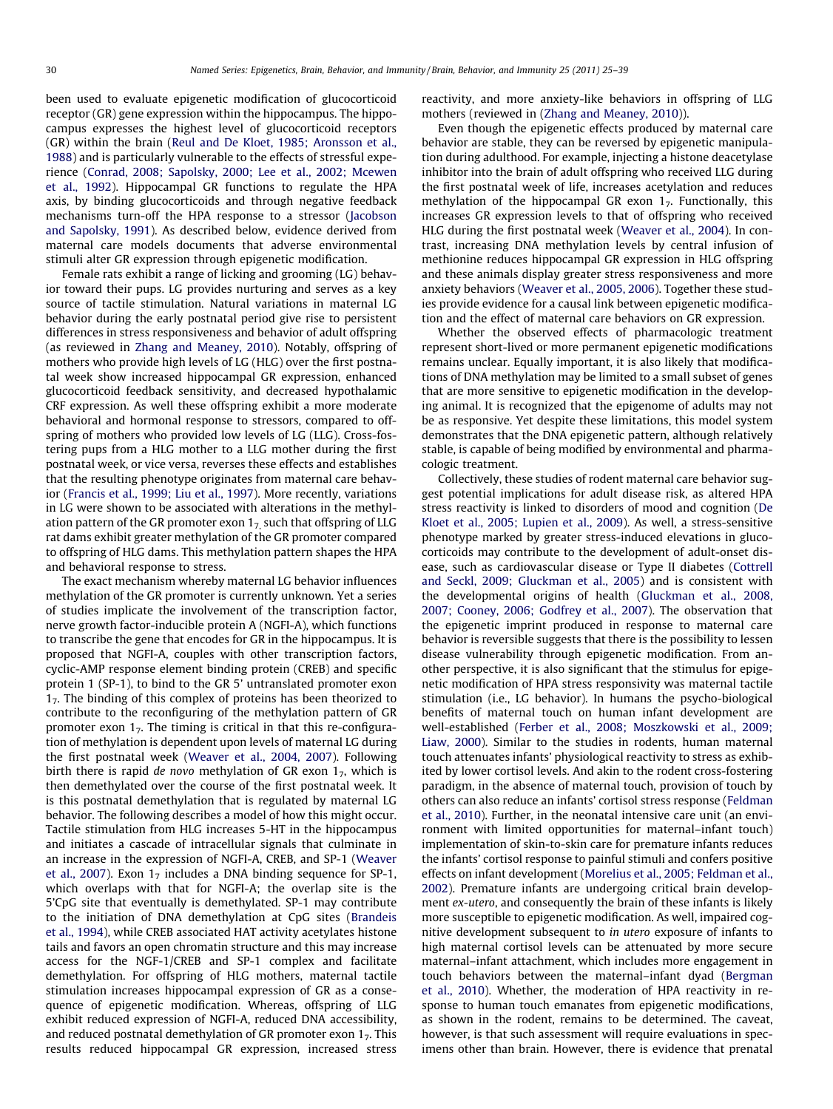been used to evaluate epigenetic modification of glucocorticoid receptor (GR) gene expression within the hippocampus. The hippocampus expresses the highest level of glucocorticoid receptors (GR) within the brain ([Reul and De Kloet, 1985; Aronsson et al.,](#page-13-0) [1988\)](#page-13-0) and is particularly vulnerable to the effects of stressful experience ([Conrad, 2008; Sapolsky, 2000; Lee et al., 2002; Mcewen](#page-11-0) [et al., 1992\)](#page-11-0). Hippocampal GR functions to regulate the HPA axis, by binding glucocorticoids and through negative feedback mechanisms turn-off the HPA response to a stressor [\(Jacobson](#page-12-0) [and Sapolsky, 1991\)](#page-12-0). As described below, evidence derived from maternal care models documents that adverse environmental stimuli alter GR expression through epigenetic modification.

Female rats exhibit a range of licking and grooming (LG) behavior toward their pups. LG provides nurturing and serves as a key source of tactile stimulation. Natural variations in maternal LG behavior during the early postnatal period give rise to persistent differences in stress responsiveness and behavior of adult offspring (as reviewed in [Zhang and Meaney, 2010](#page-13-0)). Notably, offspring of mothers who provide high levels of LG (HLG) over the first postnatal week show increased hippocampal GR expression, enhanced glucocorticoid feedback sensitivity, and decreased hypothalamic CRF expression. As well these offspring exhibit a more moderate behavioral and hormonal response to stressors, compared to offspring of mothers who provided low levels of LG (LLG). Cross-fostering pups from a HLG mother to a LLG mother during the first postnatal week, or vice versa, reverses these effects and establishes that the resulting phenotype originates from maternal care behavior ([Francis et al., 1999; Liu et al., 1997](#page-12-0)). More recently, variations in LG were shown to be associated with alterations in the methylation pattern of the GR promoter exon  $1<sub>7</sub>$  such that offspring of LLG rat dams exhibit greater methylation of the GR promoter compared to offspring of HLG dams. This methylation pattern shapes the HPA and behavioral response to stress.

The exact mechanism whereby maternal LG behavior influences methylation of the GR promoter is currently unknown. Yet a series of studies implicate the involvement of the transcription factor, nerve growth factor-inducible protein A (NGFI-A), which functions to transcribe the gene that encodes for GR in the hippocampus. It is proposed that NGFI-A, couples with other transcription factors, cyclic-AMP response element binding protein (CREB) and specific protein 1 (SP-1), to bind to the GR 5' untranslated promoter exon 17. The binding of this complex of proteins has been theorized to contribute to the reconfiguring of the methylation pattern of GR promoter exon  $1<sub>7</sub>$ . The timing is critical in that this re-configuration of methylation is dependent upon levels of maternal LG during the first postnatal week ([Weaver et al., 2004, 2007\)](#page-13-0). Following birth there is rapid de novo methylation of GR exon  $1<sub>7</sub>$ , which is then demethylated over the course of the first postnatal week. It is this postnatal demethylation that is regulated by maternal LG behavior. The following describes a model of how this might occur. Tactile stimulation from HLG increases 5-HT in the hippocampus and initiates a cascade of intracellular signals that culminate in an increase in the expression of NGFI-A, CREB, and SP-1 ([Weaver](#page-13-0) [et al., 2007](#page-13-0)). Exon  $1<sub>7</sub>$  includes a DNA binding sequence for SP-1, which overlaps with that for NGFI-A; the overlap site is the 5'CpG site that eventually is demethylated. SP-1 may contribute to the initiation of DNA demethylation at CpG sites [\(Brandeis](#page-11-0) [et al., 1994](#page-11-0)), while CREB associated HAT activity acetylates histone tails and favors an open chromatin structure and this may increase access for the NGF-1/CREB and SP-1 complex and facilitate demethylation. For offspring of HLG mothers, maternal tactile stimulation increases hippocampal expression of GR as a consequence of epigenetic modification. Whereas, offspring of LLG exhibit reduced expression of NGFI-A, reduced DNA accessibility, and reduced postnatal demethylation of GR promoter exon  $1<sub>7</sub>$ . This results reduced hippocampal GR expression, increased stress reactivity, and more anxiety-like behaviors in offspring of LLG mothers (reviewed in [\(Zhang and Meaney, 2010](#page-13-0))).

Even though the epigenetic effects produced by maternal care behavior are stable, they can be reversed by epigenetic manipulation during adulthood. For example, injecting a histone deacetylase inhibitor into the brain of adult offspring who received LLG during the first postnatal week of life, increases acetylation and reduces methylation of the hippocampal GR exon  $1<sub>7</sub>$ . Functionally, this increases GR expression levels to that of offspring who received HLG during the first postnatal week [\(Weaver et al., 2004](#page-13-0)). In contrast, increasing DNA methylation levels by central infusion of methionine reduces hippocampal GR expression in HLG offspring and these animals display greater stress responsiveness and more anxiety behaviors ([Weaver et al., 2005, 2006](#page-13-0)). Together these studies provide evidence for a causal link between epigenetic modification and the effect of maternal care behaviors on GR expression.

Whether the observed effects of pharmacologic treatment represent short-lived or more permanent epigenetic modifications remains unclear. Equally important, it is also likely that modifications of DNA methylation may be limited to a small subset of genes that are more sensitive to epigenetic modification in the developing animal. It is recognized that the epigenome of adults may not be as responsive. Yet despite these limitations, this model system demonstrates that the DNA epigenetic pattern, although relatively stable, is capable of being modified by environmental and pharmacologic treatment.

Collectively, these studies of rodent maternal care behavior suggest potential implications for adult disease risk, as altered HPA stress reactivity is linked to disorders of mood and cognition ([De](#page-11-0) [Kloet et al., 2005; Lupien et al., 2009\)](#page-11-0). As well, a stress-sensitive phenotype marked by greater stress-induced elevations in glucocorticoids may contribute to the development of adult-onset disease, such as cardiovascular disease or Type II diabetes ([Cottrell](#page-11-0) [and Seckl, 2009; Gluckman et al., 2005\)](#page-11-0) and is consistent with the developmental origins of health ([Gluckman et al., 2008,](#page-12-0) [2007; Cooney, 2006; Godfrey et al., 2007\)](#page-12-0). The observation that the epigenetic imprint produced in response to maternal care behavior is reversible suggests that there is the possibility to lessen disease vulnerability through epigenetic modification. From another perspective, it is also significant that the stimulus for epigenetic modification of HPA stress responsivity was maternal tactile stimulation (i.e., LG behavior). In humans the psycho-biological benefits of maternal touch on human infant development are well-established [\(Ferber et al., 2008; Moszkowski et al., 2009;](#page-12-0) [Liaw, 2000](#page-12-0)). Similar to the studies in rodents, human maternal touch attenuates infants' physiological reactivity to stress as exhibited by lower cortisol levels. And akin to the rodent cross-fostering paradigm, in the absence of maternal touch, provision of touch by others can also reduce an infants' cortisol stress response [\(Feldman](#page-12-0) [et al., 2010\)](#page-12-0). Further, in the neonatal intensive care unit (an environment with limited opportunities for maternal–infant touch) implementation of skin-to-skin care for premature infants reduces the infants' cortisol response to painful stimuli and confers positive effects on infant development [\(Morelius et al., 2005; Feldman et al.,](#page-13-0) [2002\)](#page-13-0). Premature infants are undergoing critical brain development ex-utero, and consequently the brain of these infants is likely more susceptible to epigenetic modification. As well, impaired cognitive development subsequent to in utero exposure of infants to high maternal cortisol levels can be attenuated by more secure maternal–infant attachment, which includes more engagement in touch behaviors between the maternal–infant dyad [\(Bergman](#page-11-0) [et al., 2010\)](#page-11-0). Whether, the moderation of HPA reactivity in response to human touch emanates from epigenetic modifications, as shown in the rodent, remains to be determined. The caveat, however, is that such assessment will require evaluations in specimens other than brain. However, there is evidence that prenatal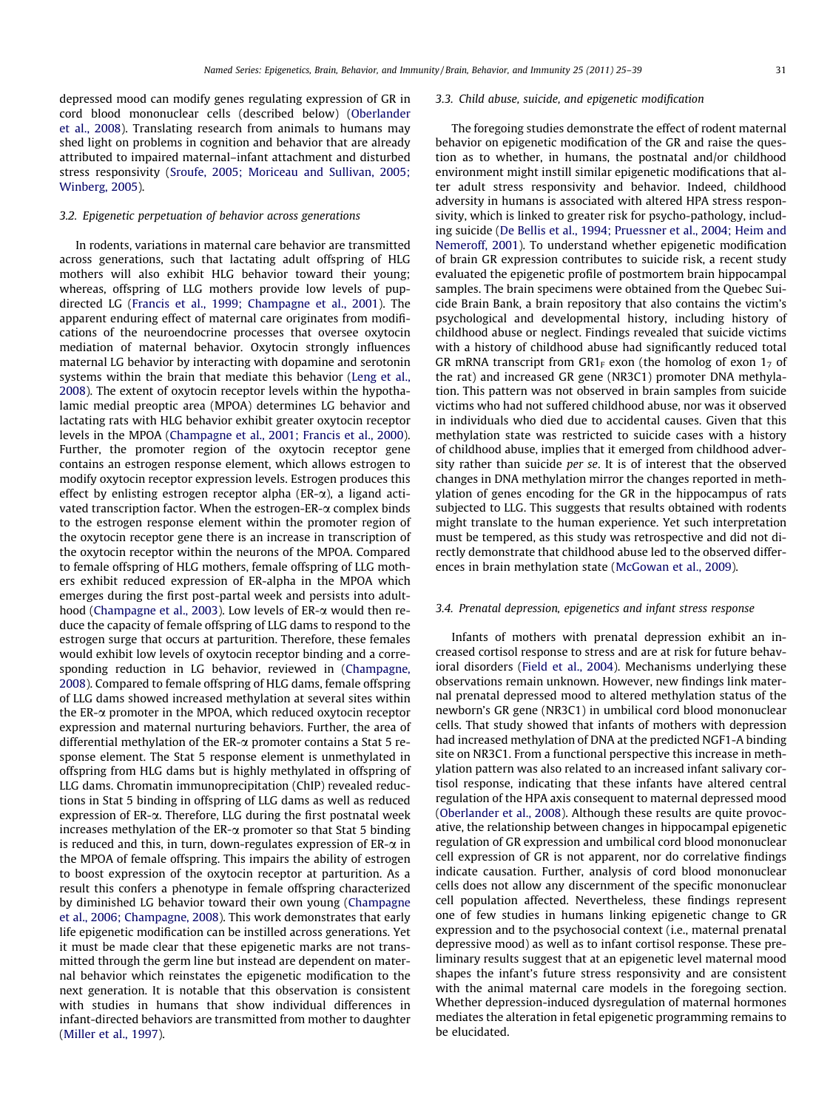depressed mood can modify genes regulating expression of GR in cord blood mononuclear cells (described below) [\(Oberlander](#page-13-0) [et al., 2008\)](#page-13-0). Translating research from animals to humans may shed light on problems in cognition and behavior that are already attributed to impaired maternal–infant attachment and disturbed stress responsivity ([Sroufe, 2005; Moriceau and Sullivan, 2005;](#page-13-0) [Winberg, 2005\)](#page-13-0).

## 3.2. Epigenetic perpetuation of behavior across generations

In rodents, variations in maternal care behavior are transmitted across generations, such that lactating adult offspring of HLG mothers will also exhibit HLG behavior toward their young; whereas, offspring of LLG mothers provide low levels of pupdirected LG ([Francis et al., 1999; Champagne et al., 2001\)](#page-12-0). The apparent enduring effect of maternal care originates from modifications of the neuroendocrine processes that oversee oxytocin mediation of maternal behavior. Oxytocin strongly influences maternal LG behavior by interacting with dopamine and serotonin systems within the brain that mediate this behavior ([Leng et al.,](#page-12-0) [2008](#page-12-0)). The extent of oxytocin receptor levels within the hypothalamic medial preoptic area (MPOA) determines LG behavior and lactating rats with HLG behavior exhibit greater oxytocin receptor levels in the MPOA [\(Champagne et al., 2001; Francis et al., 2000\)](#page-11-0). Further, the promoter region of the oxytocin receptor gene contains an estrogen response element, which allows estrogen to modify oxytocin receptor expression levels. Estrogen produces this effect by enlisting estrogen receptor alpha ( $ER-\alpha$ ), a ligand activated transcription factor. When the estrogen-ER- $\alpha$  complex binds to the estrogen response element within the promoter region of the oxytocin receptor gene there is an increase in transcription of the oxytocin receptor within the neurons of the MPOA. Compared to female offspring of HLG mothers, female offspring of LLG mothers exhibit reduced expression of ER-alpha in the MPOA which emerges during the first post-partal week and persists into adulthood [\(Champagne et al., 2003\)](#page-11-0). Low levels of ER-a would then reduce the capacity of female offspring of LLG dams to respond to the estrogen surge that occurs at parturition. Therefore, these females would exhibit low levels of oxytocin receptor binding and a corresponding reduction in LG behavior, reviewed in [\(Champagne,](#page-11-0) [2008](#page-11-0)). Compared to female offspring of HLG dams, female offspring of LLG dams showed increased methylation at several sites within the ER-a promoter in the MPOA, which reduced oxytocin receptor expression and maternal nurturing behaviors. Further, the area of differential methylation of the ER- $\alpha$  promoter contains a Stat 5 response element. The Stat 5 response element is unmethylated in offspring from HLG dams but is highly methylated in offspring of LLG dams. Chromatin immunoprecipitation (ChIP) revealed reductions in Stat 5 binding in offspring of LLG dams as well as reduced expression of ER-a. Therefore, LLG during the first postnatal week increases methylation of the ER- $\alpha$  promoter so that Stat 5 binding is reduced and this, in turn, down-regulates expression of  $ER-\alpha$  in the MPOA of female offspring. This impairs the ability of estrogen to boost expression of the oxytocin receptor at parturition. As a result this confers a phenotype in female offspring characterized by diminished LG behavior toward their own young [\(Champagne](#page-11-0) [et al., 2006; Champagne, 2008\)](#page-11-0). This work demonstrates that early life epigenetic modification can be instilled across generations. Yet it must be made clear that these epigenetic marks are not transmitted through the germ line but instead are dependent on maternal behavior which reinstates the epigenetic modification to the next generation. It is notable that this observation is consistent with studies in humans that show individual differences in infant-directed behaviors are transmitted from mother to daughter ([Miller et al., 1997](#page-12-0)).

#### 3.3. Child abuse, suicide, and epigenetic modification

The foregoing studies demonstrate the effect of rodent maternal behavior on epigenetic modification of the GR and raise the question as to whether, in humans, the postnatal and/or childhood environment might instill similar epigenetic modifications that alter adult stress responsivity and behavior. Indeed, childhood adversity in humans is associated with altered HPA stress responsivity, which is linked to greater risk for psycho-pathology, including suicide ([De Bellis et al., 1994; Pruessner et al., 2004; Heim and](#page-11-0) [Nemeroff, 2001\)](#page-11-0). To understand whether epigenetic modification of brain GR expression contributes to suicide risk, a recent study evaluated the epigenetic profile of postmortem brain hippocampal samples. The brain specimens were obtained from the Quebec Suicide Brain Bank, a brain repository that also contains the victim's psychological and developmental history, including history of childhood abuse or neglect. Findings revealed that suicide victims with a history of childhood abuse had significantly reduced total GR mRNA transcript from  $GRI_F$  exon (the homolog of exon  $1<sub>7</sub>$  of the rat) and increased GR gene (NR3C1) promoter DNA methylation. This pattern was not observed in brain samples from suicide victims who had not suffered childhood abuse, nor was it observed in individuals who died due to accidental causes. Given that this methylation state was restricted to suicide cases with a history of childhood abuse, implies that it emerged from childhood adversity rather than suicide per se. It is of interest that the observed changes in DNA methylation mirror the changes reported in methylation of genes encoding for the GR in the hippocampus of rats subjected to LLG. This suggests that results obtained with rodents might translate to the human experience. Yet such interpretation must be tempered, as this study was retrospective and did not directly demonstrate that childhood abuse led to the observed differences in brain methylation state [\(McGowan et al., 2009](#page-12-0)).

#### 3.4. Prenatal depression, epigenetics and infant stress response

Infants of mothers with prenatal depression exhibit an increased cortisol response to stress and are at risk for future behavioral disorders [\(Field et al., 2004\)](#page-12-0). Mechanisms underlying these observations remain unknown. However, new findings link maternal prenatal depressed mood to altered methylation status of the newborn's GR gene (NR3C1) in umbilical cord blood mononuclear cells. That study showed that infants of mothers with depression had increased methylation of DNA at the predicted NGF1-A binding site on NR3C1. From a functional perspective this increase in methylation pattern was also related to an increased infant salivary cortisol response, indicating that these infants have altered central regulation of the HPA axis consequent to maternal depressed mood ([Oberlander et al., 2008](#page-13-0)). Although these results are quite provocative, the relationship between changes in hippocampal epigenetic regulation of GR expression and umbilical cord blood mononuclear cell expression of GR is not apparent, nor do correlative findings indicate causation. Further, analysis of cord blood mononuclear cells does not allow any discernment of the specific mononuclear cell population affected. Nevertheless, these findings represent one of few studies in humans linking epigenetic change to GR expression and to the psychosocial context (i.e., maternal prenatal depressive mood) as well as to infant cortisol response. These preliminary results suggest that at an epigenetic level maternal mood shapes the infant's future stress responsivity and are consistent with the animal maternal care models in the foregoing section. Whether depression-induced dysregulation of maternal hormones mediates the alteration in fetal epigenetic programming remains to be elucidated.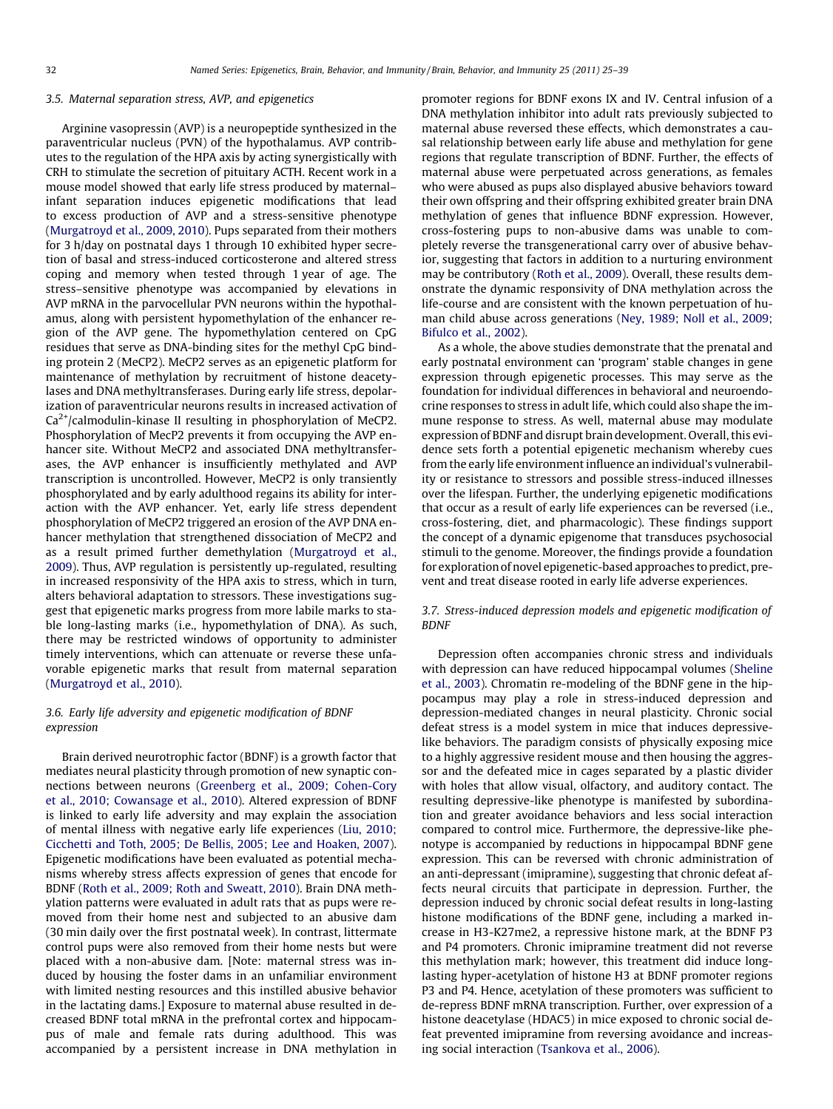#### 3.5. Maternal separation stress, AVP, and epigenetics

Arginine vasopressin (AVP) is a neuropeptide synthesized in the paraventricular nucleus (PVN) of the hypothalamus. AVP contributes to the regulation of the HPA axis by acting synergistically with CRH to stimulate the secretion of pituitary ACTH. Recent work in a mouse model showed that early life stress produced by maternal– infant separation induces epigenetic modifications that lead to excess production of AVP and a stress-sensitive phenotype ([Murgatroyd et al., 2009, 2010](#page-13-0)). Pups separated from their mothers for 3 h/day on postnatal days 1 through 10 exhibited hyper secretion of basal and stress-induced corticosterone and altered stress coping and memory when tested through 1 year of age. The stress–sensitive phenotype was accompanied by elevations in AVP mRNA in the parvocellular PVN neurons within the hypothalamus, along with persistent hypomethylation of the enhancer region of the AVP gene. The hypomethylation centered on CpG residues that serve as DNA-binding sites for the methyl CpG binding protein 2 (MeCP2). MeCP2 serves as an epigenetic platform for maintenance of methylation by recruitment of histone deacetylases and DNA methyltransferases. During early life stress, depolarization of paraventricular neurons results in increased activation of  $Ca<sup>2+</sup>/calmodulin-kinase II resulting in phosphorylation of MeCP2.$ Phosphorylation of MecP2 prevents it from occupying the AVP enhancer site. Without MeCP2 and associated DNA methyltransferases, the AVP enhancer is insufficiently methylated and AVP transcription is uncontrolled. However, MeCP2 is only transiently phosphorylated and by early adulthood regains its ability for interaction with the AVP enhancer. Yet, early life stress dependent phosphorylation of MeCP2 triggered an erosion of the AVP DNA enhancer methylation that strengthened dissociation of MeCP2 and as a result primed further demethylation [\(Murgatroyd et al.,](#page-13-0) [2009\)](#page-13-0). Thus, AVP regulation is persistently up-regulated, resulting in increased responsivity of the HPA axis to stress, which in turn, alters behavioral adaptation to stressors. These investigations suggest that epigenetic marks progress from more labile marks to stable long-lasting marks (i.e., hypomethylation of DNA). As such, there may be restricted windows of opportunity to administer timely interventions, which can attenuate or reverse these unfavorable epigenetic marks that result from maternal separation ([Murgatroyd et al., 2010](#page-13-0)).

# 3.6. Early life adversity and epigenetic modification of BDNF expression

Brain derived neurotrophic factor (BDNF) is a growth factor that mediates neural plasticity through promotion of new synaptic connections between neurons [\(Greenberg et al., 2009; Cohen-Cory](#page-12-0) [et al., 2010; Cowansage et al., 2010](#page-12-0)). Altered expression of BDNF is linked to early life adversity and may explain the association of mental illness with negative early life experiences [\(Liu, 2010;](#page-12-0) [Cicchetti and Toth, 2005; De Bellis, 2005; Lee and Hoaken, 2007\)](#page-12-0). Epigenetic modifications have been evaluated as potential mechanisms whereby stress affects expression of genes that encode for BDNF [\(Roth et al., 2009; Roth and Sweatt, 2010](#page-13-0)). Brain DNA methylation patterns were evaluated in adult rats that as pups were removed from their home nest and subjected to an abusive dam (30 min daily over the first postnatal week). In contrast, littermate control pups were also removed from their home nests but were placed with a non-abusive dam. [Note: maternal stress was induced by housing the foster dams in an unfamiliar environment with limited nesting resources and this instilled abusive behavior in the lactating dams.] Exposure to maternal abuse resulted in decreased BDNF total mRNA in the prefrontal cortex and hippocampus of male and female rats during adulthood. This was accompanied by a persistent increase in DNA methylation in promoter regions for BDNF exons IX and IV. Central infusion of a DNA methylation inhibitor into adult rats previously subjected to maternal abuse reversed these effects, which demonstrates a causal relationship between early life abuse and methylation for gene regions that regulate transcription of BDNF. Further, the effects of maternal abuse were perpetuated across generations, as females who were abused as pups also displayed abusive behaviors toward their own offspring and their offspring exhibited greater brain DNA methylation of genes that influence BDNF expression. However, cross-fostering pups to non-abusive dams was unable to completely reverse the transgenerational carry over of abusive behavior, suggesting that factors in addition to a nurturing environment may be contributory [\(Roth et al., 2009\)](#page-13-0). Overall, these results demonstrate the dynamic responsivity of DNA methylation across the life-course and are consistent with the known perpetuation of human child abuse across generations [\(Ney, 1989; Noll et al., 2009;](#page-13-0) [Bifulco et al., 2002](#page-13-0)).

As a whole, the above studies demonstrate that the prenatal and early postnatal environment can 'program' stable changes in gene expression through epigenetic processes. This may serve as the foundation for individual differences in behavioral and neuroendocrine responses to stress in adult life, which could also shape the immune response to stress. As well, maternal abuse may modulate expression of BDNF and disrupt brain development. Overall, this evidence sets forth a potential epigenetic mechanism whereby cues from the early life environment influence an individual's vulnerability or resistance to stressors and possible stress-induced illnesses over the lifespan. Further, the underlying epigenetic modifications that occur as a result of early life experiences can be reversed (i.e., cross-fostering, diet, and pharmacologic). These findings support the concept of a dynamic epigenome that transduces psychosocial stimuli to the genome. Moreover, the findings provide a foundation for exploration of novel epigenetic-based approaches to predict, prevent and treat disease rooted in early life adverse experiences.

## 3.7. Stress-induced depression models and epigenetic modification of BDNF

Depression often accompanies chronic stress and individuals with depression can have reduced hippocampal volumes [\(Sheline](#page-13-0) [et al., 2003\)](#page-13-0). Chromatin re-modeling of the BDNF gene in the hippocampus may play a role in stress-induced depression and depression-mediated changes in neural plasticity. Chronic social defeat stress is a model system in mice that induces depressivelike behaviors. The paradigm consists of physically exposing mice to a highly aggressive resident mouse and then housing the aggressor and the defeated mice in cages separated by a plastic divider with holes that allow visual, olfactory, and auditory contact. The resulting depressive-like phenotype is manifested by subordination and greater avoidance behaviors and less social interaction compared to control mice. Furthermore, the depressive-like phenotype is accompanied by reductions in hippocampal BDNF gene expression. This can be reversed with chronic administration of an anti-depressant (imipramine), suggesting that chronic defeat affects neural circuits that participate in depression. Further, the depression induced by chronic social defeat results in long-lasting histone modifications of the BDNF gene, including a marked increase in H3-K27me2, a repressive histone mark, at the BDNF P3 and P4 promoters. Chronic imipramine treatment did not reverse this methylation mark; however, this treatment did induce longlasting hyper-acetylation of histone H3 at BDNF promoter regions P3 and P4. Hence, acetylation of these promoters was sufficient to de-repress BDNF mRNA transcription. Further, over expression of a histone deacetylase (HDAC5) in mice exposed to chronic social defeat prevented imipramine from reversing avoidance and increasing social interaction [\(Tsankova et al., 2006](#page-13-0)).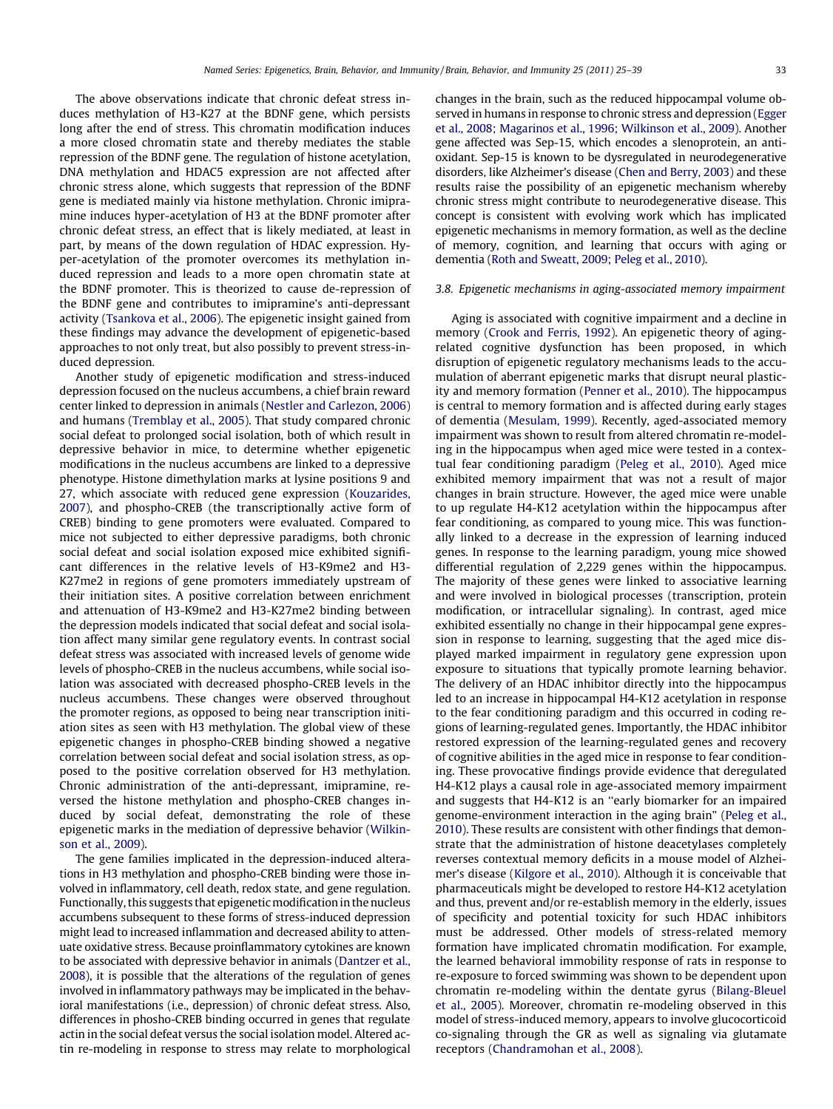The above observations indicate that chronic defeat stress induces methylation of H3-K27 at the BDNF gene, which persists long after the end of stress. This chromatin modification induces a more closed chromatin state and thereby mediates the stable repression of the BDNF gene. The regulation of histone acetylation, DNA methylation and HDAC5 expression are not affected after chronic stress alone, which suggests that repression of the BDNF gene is mediated mainly via histone methylation. Chronic imipramine induces hyper-acetylation of H3 at the BDNF promoter after chronic defeat stress, an effect that is likely mediated, at least in part, by means of the down regulation of HDAC expression. Hyper-acetylation of the promoter overcomes its methylation induced repression and leads to a more open chromatin state at the BDNF promoter. This is theorized to cause de-repression of the BDNF gene and contributes to imipramine's anti-depressant activity [\(Tsankova et al., 2006\)](#page-13-0). The epigenetic insight gained from these findings may advance the development of epigenetic-based approaches to not only treat, but also possibly to prevent stress-induced depression.

Another study of epigenetic modification and stress-induced depression focused on the nucleus accumbens, a chief brain reward center linked to depression in animals [\(Nestler and Carlezon, 2006\)](#page-13-0) and humans ([Tremblay et al., 2005](#page-13-0)). That study compared chronic social defeat to prolonged social isolation, both of which result in depressive behavior in mice, to determine whether epigenetic modifications in the nucleus accumbens are linked to a depressive phenotype. Histone dimethylation marks at lysine positions 9 and 27, which associate with reduced gene expression [\(Kouzarides,](#page-12-0) [2007](#page-12-0)), and phospho-CREB (the transcriptionally active form of CREB) binding to gene promoters were evaluated. Compared to mice not subjected to either depressive paradigms, both chronic social defeat and social isolation exposed mice exhibited significant differences in the relative levels of H3-K9me2 and H3- K27me2 in regions of gene promoters immediately upstream of their initiation sites. A positive correlation between enrichment and attenuation of H3-K9me2 and H3-K27me2 binding between the depression models indicated that social defeat and social isolation affect many similar gene regulatory events. In contrast social defeat stress was associated with increased levels of genome wide levels of phospho-CREB in the nucleus accumbens, while social isolation was associated with decreased phospho-CREB levels in the nucleus accumbens. These changes were observed throughout the promoter regions, as opposed to being near transcription initiation sites as seen with H3 methylation. The global view of these epigenetic changes in phospho-CREB binding showed a negative correlation between social defeat and social isolation stress, as opposed to the positive correlation observed for H3 methylation. Chronic administration of the anti-depressant, imipramine, reversed the histone methylation and phospho-CREB changes induced by social defeat, demonstrating the role of these epigenetic marks in the mediation of depressive behavior ([Wilkin](#page-13-0)[son et al., 2009](#page-13-0)).

The gene families implicated in the depression-induced alterations in H3 methylation and phospho-CREB binding were those involved in inflammatory, cell death, redox state, and gene regulation. Functionally, this suggests that epigeneticmodification in the nucleus accumbens subsequent to these forms of stress-induced depression might lead to increased inflammation and decreased ability to attenuate oxidative stress. Because proinflammatory cytokines are known to be associated with depressive behavior in animals [\(Dantzer et al.,](#page-11-0) [2008](#page-11-0)), it is possible that the alterations of the regulation of genes involved in inflammatory pathways may be implicated in the behavioral manifestations (i.e., depression) of chronic defeat stress. Also, differences in phosho-CREB binding occurred in genes that regulate actin in the social defeat versus the social isolation model. Altered actin re-modeling in response to stress may relate to morphological changes in the brain, such as the reduced hippocampal volume observed in humans in response to chronic stress and depression ([Egger](#page-11-0) [et al., 2008; Magarinos et al., 1996; Wilkinson et al., 2009](#page-11-0)). Another gene affected was Sep-15, which encodes a slenoprotein, an antioxidant. Sep-15 is known to be dysregulated in neurodegenerative disorders, like Alzheimer's disease ([Chen and Berry, 2003\)](#page-11-0) and these results raise the possibility of an epigenetic mechanism whereby chronic stress might contribute to neurodegenerative disease. This concept is consistent with evolving work which has implicated epigenetic mechanisms in memory formation, as well as the decline of memory, cognition, and learning that occurs with aging or dementia ([Roth and Sweatt, 2009; Peleg et al., 2010](#page-13-0)).

#### 3.8. Epigenetic mechanisms in aging-associated memory impairment

Aging is associated with cognitive impairment and a decline in memory ([Crook and Ferris, 1992\)](#page-11-0). An epigenetic theory of agingrelated cognitive dysfunction has been proposed, in which disruption of epigenetic regulatory mechanisms leads to the accumulation of aberrant epigenetic marks that disrupt neural plasticity and memory formation ([Penner et al., 2010](#page-13-0)). The hippocampus is central to memory formation and is affected during early stages of dementia ([Mesulam, 1999](#page-12-0)). Recently, aged-associated memory impairment was shown to result from altered chromatin re-modeling in the hippocampus when aged mice were tested in a contextual fear conditioning paradigm ([Peleg et al., 2010](#page-13-0)). Aged mice exhibited memory impairment that was not a result of major changes in brain structure. However, the aged mice were unable to up regulate H4-K12 acetylation within the hippocampus after fear conditioning, as compared to young mice. This was functionally linked to a decrease in the expression of learning induced genes. In response to the learning paradigm, young mice showed differential regulation of 2,229 genes within the hippocampus. The majority of these genes were linked to associative learning and were involved in biological processes (transcription, protein modification, or intracellular signaling). In contrast, aged mice exhibited essentially no change in their hippocampal gene expression in response to learning, suggesting that the aged mice displayed marked impairment in regulatory gene expression upon exposure to situations that typically promote learning behavior. The delivery of an HDAC inhibitor directly into the hippocampus led to an increase in hippocampal H4-K12 acetylation in response to the fear conditioning paradigm and this occurred in coding regions of learning-regulated genes. Importantly, the HDAC inhibitor restored expression of the learning-regulated genes and recovery of cognitive abilities in the aged mice in response to fear conditioning. These provocative findings provide evidence that deregulated H4-K12 plays a causal role in age-associated memory impairment and suggests that H4-K12 is an ''early biomarker for an impaired genome-environment interaction in the aging brain" ([Peleg et al.,](#page-13-0) [2010](#page-13-0)). These results are consistent with other findings that demonstrate that the administration of histone deacetylases completely reverses contextual memory deficits in a mouse model of Alzheimer's disease ([Kilgore et al., 2010\)](#page-12-0). Although it is conceivable that pharmaceuticals might be developed to restore H4-K12 acetylation and thus, prevent and/or re-establish memory in the elderly, issues of specificity and potential toxicity for such HDAC inhibitors must be addressed. Other models of stress-related memory formation have implicated chromatin modification. For example, the learned behavioral immobility response of rats in response to re-exposure to forced swimming was shown to be dependent upon chromatin re-modeling within the dentate gyrus [\(Bilang-Bleuel](#page-11-0) [et al., 2005\)](#page-11-0). Moreover, chromatin re-modeling observed in this model of stress-induced memory, appears to involve glucocorticoid co-signaling through the GR as well as signaling via glutamate receptors [\(Chandramohan et al., 2008\)](#page-11-0).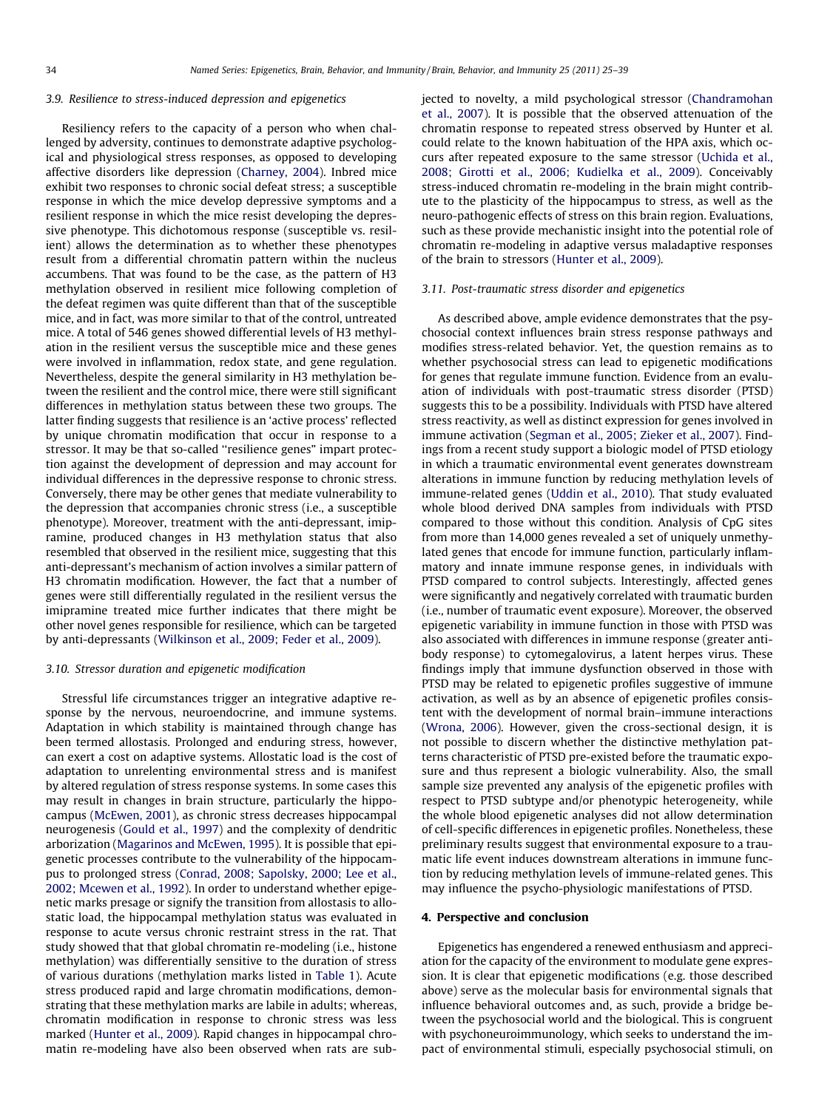#### 3.9. Resilience to stress-induced depression and epigenetics

Resiliency refers to the capacity of a person who when challenged by adversity, continues to demonstrate adaptive psychological and physiological stress responses, as opposed to developing affective disorders like depression ([Charney, 2004](#page-11-0)). Inbred mice exhibit two responses to chronic social defeat stress; a susceptible response in which the mice develop depressive symptoms and a resilient response in which the mice resist developing the depressive phenotype. This dichotomous response (susceptible vs. resilient) allows the determination as to whether these phenotypes result from a differential chromatin pattern within the nucleus accumbens. That was found to be the case, as the pattern of H3 methylation observed in resilient mice following completion of the defeat regimen was quite different than that of the susceptible mice, and in fact, was more similar to that of the control, untreated mice. A total of 546 genes showed differential levels of H3 methylation in the resilient versus the susceptible mice and these genes were involved in inflammation, redox state, and gene regulation. Nevertheless, despite the general similarity in H3 methylation between the resilient and the control mice, there were still significant differences in methylation status between these two groups. The latter finding suggests that resilience is an 'active process' reflected by unique chromatin modification that occur in response to a stressor. It may be that so-called ''resilience genes" impart protection against the development of depression and may account for individual differences in the depressive response to chronic stress. Conversely, there may be other genes that mediate vulnerability to the depression that accompanies chronic stress (i.e., a susceptible phenotype). Moreover, treatment with the anti-depressant, imipramine, produced changes in H3 methylation status that also resembled that observed in the resilient mice, suggesting that this anti-depressant's mechanism of action involves a similar pattern of H3 chromatin modification. However, the fact that a number of genes were still differentially regulated in the resilient versus the imipramine treated mice further indicates that there might be other novel genes responsible for resilience, which can be targeted by anti-depressants [\(Wilkinson et al., 2009; Feder et al., 2009\)](#page-13-0).

## 3.10. Stressor duration and epigenetic modification

Stressful life circumstances trigger an integrative adaptive response by the nervous, neuroendocrine, and immune systems. Adaptation in which stability is maintained through change has been termed allostasis. Prolonged and enduring stress, however, can exert a cost on adaptive systems. Allostatic load is the cost of adaptation to unrelenting environmental stress and is manifest by altered regulation of stress response systems. In some cases this may result in changes in brain structure, particularly the hippocampus ([McEwen, 2001](#page-12-0)), as chronic stress decreases hippocampal neurogenesis [\(Gould et al., 1997](#page-12-0)) and the complexity of dendritic arborization ([Magarinos and McEwen, 1995](#page-12-0)). It is possible that epigenetic processes contribute to the vulnerability of the hippocampus to prolonged stress ([Conrad, 2008; Sapolsky, 2000; Lee et al.,](#page-11-0) [2002; Mcewen et al., 1992](#page-11-0)). In order to understand whether epigenetic marks presage or signify the transition from allostasis to allostatic load, the hippocampal methylation status was evaluated in response to acute versus chronic restraint stress in the rat. That study showed that that global chromatin re-modeling (i.e., histone methylation) was differentially sensitive to the duration of stress of various durations (methylation marks listed in [Table 1](#page-4-0)). Acute stress produced rapid and large chromatin modifications, demonstrating that these methylation marks are labile in adults; whereas, chromatin modification in response to chronic stress was less marked [\(Hunter et al., 2009\)](#page-12-0). Rapid changes in hippocampal chromatin re-modeling have also been observed when rats are subjected to novelty, a mild psychological stressor ([Chandramohan](#page-11-0) [et al., 2007](#page-11-0)). It is possible that the observed attenuation of the chromatin response to repeated stress observed by Hunter et al. could relate to the known habituation of the HPA axis, which occurs after repeated exposure to the same stressor ([Uchida et al.,](#page-13-0) [2008; Girotti et al., 2006; Kudielka et al., 2009](#page-13-0)). Conceivably stress-induced chromatin re-modeling in the brain might contribute to the plasticity of the hippocampus to stress, as well as the neuro-pathogenic effects of stress on this brain region. Evaluations, such as these provide mechanistic insight into the potential role of chromatin re-modeling in adaptive versus maladaptive responses of the brain to stressors [\(Hunter et al., 2009\)](#page-12-0).

#### 3.11. Post-traumatic stress disorder and epigenetics

As described above, ample evidence demonstrates that the psychosocial context influences brain stress response pathways and modifies stress-related behavior. Yet, the question remains as to whether psychosocial stress can lead to epigenetic modifications for genes that regulate immune function. Evidence from an evaluation of individuals with post-traumatic stress disorder (PTSD) suggests this to be a possibility. Individuals with PTSD have altered stress reactivity, as well as distinct expression for genes involved in immune activation ([Segman et al., 2005; Zieker et al., 2007\)](#page-13-0). Findings from a recent study support a biologic model of PTSD etiology in which a traumatic environmental event generates downstream alterations in immune function by reducing methylation levels of immune-related genes [\(Uddin et al., 2010\)](#page-13-0). That study evaluated whole blood derived DNA samples from individuals with PTSD compared to those without this condition. Analysis of CpG sites from more than 14,000 genes revealed a set of uniquely unmethylated genes that encode for immune function, particularly inflammatory and innate immune response genes, in individuals with PTSD compared to control subjects. Interestingly, affected genes were significantly and negatively correlated with traumatic burden (i.e., number of traumatic event exposure). Moreover, the observed epigenetic variability in immune function in those with PTSD was also associated with differences in immune response (greater antibody response) to cytomegalovirus, a latent herpes virus. These findings imply that immune dysfunction observed in those with PTSD may be related to epigenetic profiles suggestive of immune activation, as well as by an absence of epigenetic profiles consistent with the development of normal brain–immune interactions ([Wrona, 2006](#page-13-0)). However, given the cross-sectional design, it is not possible to discern whether the distinctive methylation patterns characteristic of PTSD pre-existed before the traumatic exposure and thus represent a biologic vulnerability. Also, the small sample size prevented any analysis of the epigenetic profiles with respect to PTSD subtype and/or phenotypic heterogeneity, while the whole blood epigenetic analyses did not allow determination of cell-specific differences in epigenetic profiles. Nonetheless, these preliminary results suggest that environmental exposure to a traumatic life event induces downstream alterations in immune function by reducing methylation levels of immune-related genes. This may influence the psycho-physiologic manifestations of PTSD.

#### 4. Perspective and conclusion

Epigenetics has engendered a renewed enthusiasm and appreciation for the capacity of the environment to modulate gene expression. It is clear that epigenetic modifications (e.g. those described above) serve as the molecular basis for environmental signals that influence behavioral outcomes and, as such, provide a bridge between the psychosocial world and the biological. This is congruent with psychoneuroimmunology, which seeks to understand the impact of environmental stimuli, especially psychosocial stimuli, on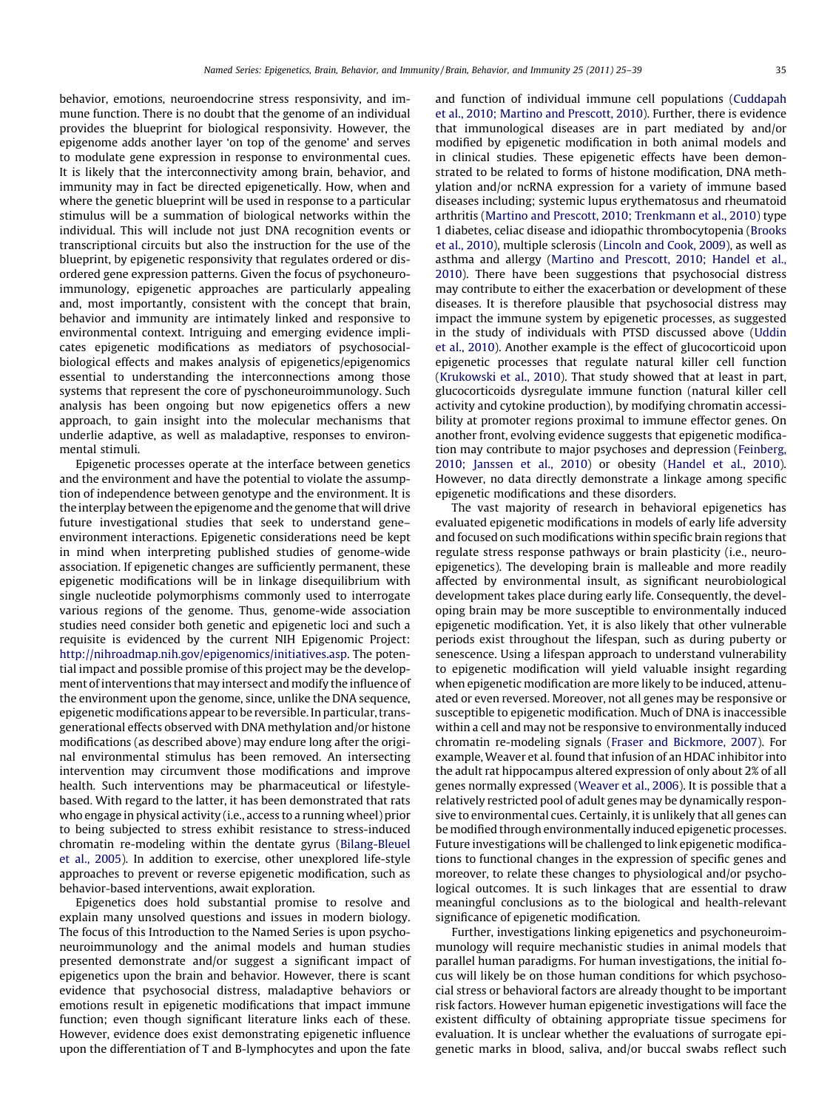behavior, emotions, neuroendocrine stress responsivity, and immune function. There is no doubt that the genome of an individual provides the blueprint for biological responsivity. However, the epigenome adds another layer 'on top of the genome' and serves to modulate gene expression in response to environmental cues. It is likely that the interconnectivity among brain, behavior, and immunity may in fact be directed epigenetically. How, when and where the genetic blueprint will be used in response to a particular stimulus will be a summation of biological networks within the individual. This will include not just DNA recognition events or transcriptional circuits but also the instruction for the use of the blueprint, by epigenetic responsivity that regulates ordered or disordered gene expression patterns. Given the focus of psychoneuroimmunology, epigenetic approaches are particularly appealing and, most importantly, consistent with the concept that brain, behavior and immunity are intimately linked and responsive to environmental context. Intriguing and emerging evidence implicates epigenetic modifications as mediators of psychosocialbiological effects and makes analysis of epigenetics/epigenomics essential to understanding the interconnections among those systems that represent the core of pyschoneuroimmunology. Such analysis has been ongoing but now epigenetics offers a new approach, to gain insight into the molecular mechanisms that underlie adaptive, as well as maladaptive, responses to environmental stimuli.

Epigenetic processes operate at the interface between genetics and the environment and have the potential to violate the assumption of independence between genotype and the environment. It is the interplay between the epigenome and the genome that will drive future investigational studies that seek to understand gene– environment interactions. Epigenetic considerations need be kept in mind when interpreting published studies of genome-wide association. If epigenetic changes are sufficiently permanent, these epigenetic modifications will be in linkage disequilibrium with single nucleotide polymorphisms commonly used to interrogate various regions of the genome. Thus, genome-wide association studies need consider both genetic and epigenetic loci and such a requisite is evidenced by the current NIH Epigenomic Project: <http://nihroadmap.nih.gov/epigenomics/initiatives.asp>. The potential impact and possible promise of this project may be the development of interventions that may intersect and modify the influence of the environment upon the genome, since, unlike the DNA sequence, epigeneticmodifications appear to be reversible. In particular, transgenerational effects observed with DNA methylation and/or histone modifications (as described above) may endure long after the original environmental stimulus has been removed. An intersecting intervention may circumvent those modifications and improve health. Such interventions may be pharmaceutical or lifestylebased. With regard to the latter, it has been demonstrated that rats who engage in physical activity (i.e., access to a running wheel) prior to being subjected to stress exhibit resistance to stress-induced chromatin re-modeling within the dentate gyrus [\(Bilang-Bleuel](#page-11-0) [et al., 2005\)](#page-11-0). In addition to exercise, other unexplored life-style approaches to prevent or reverse epigenetic modification, such as behavior-based interventions, await exploration.

Epigenetics does hold substantial promise to resolve and explain many unsolved questions and issues in modern biology. The focus of this Introduction to the Named Series is upon psychoneuroimmunology and the animal models and human studies presented demonstrate and/or suggest a significant impact of epigenetics upon the brain and behavior. However, there is scant evidence that psychosocial distress, maladaptive behaviors or emotions result in epigenetic modifications that impact immune function; even though significant literature links each of these. However, evidence does exist demonstrating epigenetic influence upon the differentiation of T and B-lymphocytes and upon the fate and function of individual immune cell populations ([Cuddapah](#page-11-0) [et al., 2010; Martino and Prescott, 2010\)](#page-11-0). Further, there is evidence that immunological diseases are in part mediated by and/or modified by epigenetic modification in both animal models and in clinical studies. These epigenetic effects have been demonstrated to be related to forms of histone modification, DNA methylation and/or ncRNA expression for a variety of immune based diseases including; systemic lupus erythematosus and rheumatoid arthritis [\(Martino and Prescott, 2010; Trenkmann et al., 2010\)](#page-12-0) type 1 diabetes, celiac disease and idiopathic thrombocytopenia ([Brooks](#page-11-0) [et al., 2010\)](#page-11-0), multiple sclerosis [\(Lincoln and Cook, 2009](#page-12-0)), as well as asthma and allergy [\(Martino and Prescott, 2010; Handel et al.,](#page-12-0) [2010](#page-12-0)). There have been suggestions that psychosocial distress may contribute to either the exacerbation or development of these diseases. It is therefore plausible that psychosocial distress may impact the immune system by epigenetic processes, as suggested in the study of individuals with PTSD discussed above ([Uddin](#page-13-0) [et al., 2010\)](#page-13-0). Another example is the effect of glucocorticoid upon epigenetic processes that regulate natural killer cell function ([Krukowski et al., 2010\)](#page-12-0). That study showed that at least in part, glucocorticoids dysregulate immune function (natural killer cell activity and cytokine production), by modifying chromatin accessibility at promoter regions proximal to immune effector genes. On another front, evolving evidence suggests that epigenetic modification may contribute to major psychoses and depression [\(Feinberg,](#page-12-0) [2010; Janssen et al., 2010](#page-12-0)) or obesity ([Handel et al., 2010\)](#page-12-0). However, no data directly demonstrate a linkage among specific epigenetic modifications and these disorders.

The vast majority of research in behavioral epigenetics has evaluated epigenetic modifications in models of early life adversity and focused on such modifications within specific brain regions that regulate stress response pathways or brain plasticity (i.e., neuroepigenetics). The developing brain is malleable and more readily affected by environmental insult, as significant neurobiological development takes place during early life. Consequently, the developing brain may be more susceptible to environmentally induced epigenetic modification. Yet, it is also likely that other vulnerable periods exist throughout the lifespan, such as during puberty or senescence. Using a lifespan approach to understand vulnerability to epigenetic modification will yield valuable insight regarding when epigenetic modification are more likely to be induced, attenuated or even reversed. Moreover, not all genes may be responsive or susceptible to epigenetic modification. Much of DNA is inaccessible within a cell and may not be responsive to environmentally induced chromatin re-modeling signals [\(Fraser and Bickmore, 2007\)](#page-12-0). For example, Weaver et al. found that infusion of an HDAC inhibitor into the adult rat hippocampus altered expression of only about 2% of all genes normally expressed ([Weaver et al., 2006\)](#page-13-0). It is possible that a relatively restricted pool of adult genes may be dynamically responsive to environmental cues. Certainly, it is unlikely that all genes can be modified through environmentally induced epigenetic processes. Future investigations will be challenged to link epigenetic modifications to functional changes in the expression of specific genes and moreover, to relate these changes to physiological and/or psychological outcomes. It is such linkages that are essential to draw meaningful conclusions as to the biological and health-relevant significance of epigenetic modification.

Further, investigations linking epigenetics and psychoneuroimmunology will require mechanistic studies in animal models that parallel human paradigms. For human investigations, the initial focus will likely be on those human conditions for which psychosocial stress or behavioral factors are already thought to be important risk factors. However human epigenetic investigations will face the existent difficulty of obtaining appropriate tissue specimens for evaluation. It is unclear whether the evaluations of surrogate epigenetic marks in blood, saliva, and/or buccal swabs reflect such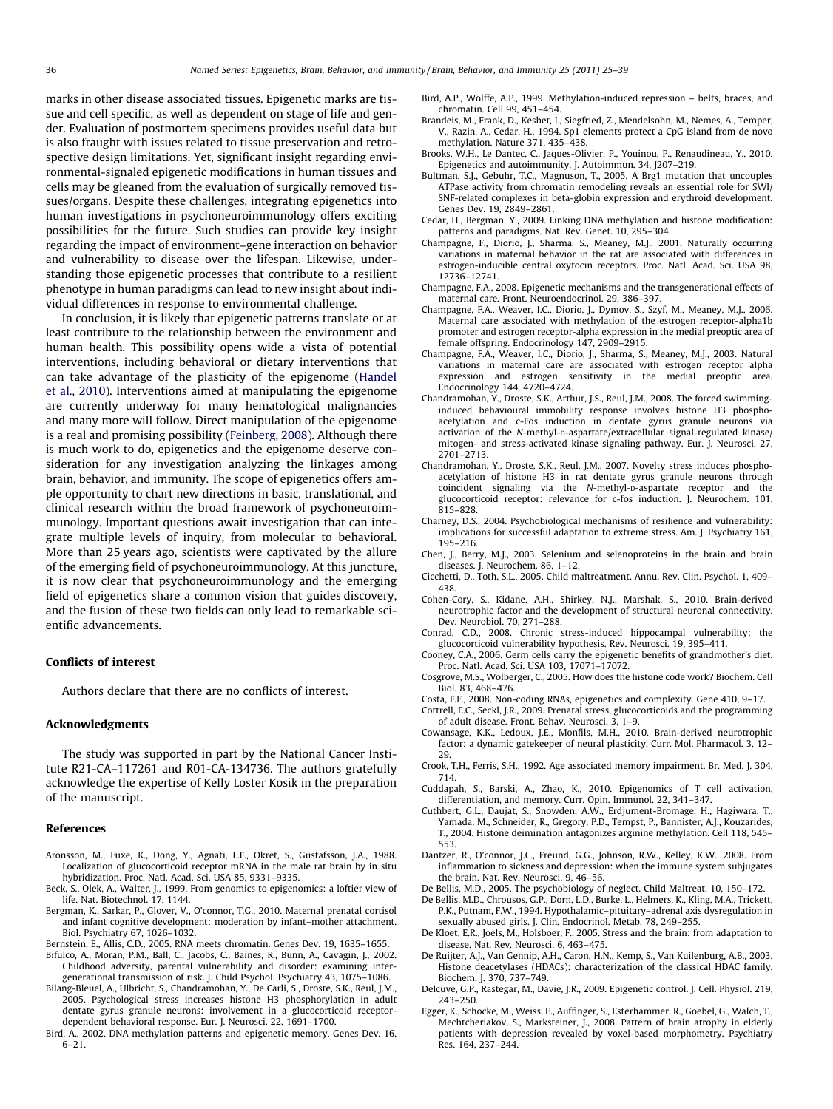<span id="page-11-0"></span>marks in other disease associated tissues. Epigenetic marks are tissue and cell specific, as well as dependent on stage of life and gender. Evaluation of postmortem specimens provides useful data but is also fraught with issues related to tissue preservation and retrospective design limitations. Yet, significant insight regarding environmental-signaled epigenetic modifications in human tissues and cells may be gleaned from the evaluation of surgically removed tissues/organs. Despite these challenges, integrating epigenetics into human investigations in psychoneuroimmunology offers exciting possibilities for the future. Such studies can provide key insight regarding the impact of environment–gene interaction on behavior and vulnerability to disease over the lifespan. Likewise, understanding those epigenetic processes that contribute to a resilient phenotype in human paradigms can lead to new insight about individual differences in response to environmental challenge.

In conclusion, it is likely that epigenetic patterns translate or at least contribute to the relationship between the environment and human health. This possibility opens wide a vista of potential interventions, including behavioral or dietary interventions that can take advantage of the plasticity of the epigenome ([Handel](#page-12-0) [et al., 2010](#page-12-0)). Interventions aimed at manipulating the epigenome are currently underway for many hematological malignancies and many more will follow. Direct manipulation of the epigenome is a real and promising possibility ([Feinberg, 2008](#page-12-0)). Although there is much work to do, epigenetics and the epigenome deserve consideration for any investigation analyzing the linkages among brain, behavior, and immunity. The scope of epigenetics offers ample opportunity to chart new directions in basic, translational, and clinical research within the broad framework of psychoneuroimmunology. Important questions await investigation that can integrate multiple levels of inquiry, from molecular to behavioral. More than 25 years ago, scientists were captivated by the allure of the emerging field of psychoneuroimmunology. At this juncture, it is now clear that psychoneuroimmunology and the emerging field of epigenetics share a common vision that guides discovery, and the fusion of these two fields can only lead to remarkable scientific advancements.

#### Conflicts of interest

Authors declare that there are no conflicts of interest.

#### Acknowledgments

The study was supported in part by the National Cancer Institute R21-CA–117261 and R01-CA-134736. The authors gratefully acknowledge the expertise of Kelly Loster Kosik in the preparation of the manuscript.

#### References

- Aronsson, M., Fuxe, K., Dong, Y., Agnati, L.F., Okret, S., Gustafsson, J.A., 1988. Localization of glucocorticoid receptor mRNA in the male rat brain by in situ hybridization. Proc. Natl. Acad. Sci. USA 85, 9331–9335.
- Beck, S., Olek, A., Walter, J., 1999. From genomics to epigenomics: a loftier view of life. Nat. Biotechnol. 17, 1144.
- Bergman, K., Sarkar, P., Glover, V., O'connor, T.G., 2010. Maternal prenatal cortisol and infant cognitive development: moderation by infant–mother attachment. Biol. Psychiatry 67, 1026–1032.
- Bernstein, E., Allis, C.D., 2005. RNA meets chromatin. Genes Dev. 19, 1635–1655. Bifulco, A., Moran, P.M., Ball, C., Jacobs, C., Baines, R., Bunn, A., Cavagin, J., 2002. Childhood adversity, parental vulnerability and disorder: examining intergenerational transmission of risk. J. Child Psychol. Psychiatry 43, 1075–1086.
- Bilang-Bleuel, A., Ulbricht, S., Chandramohan, Y., De Carli, S., Droste, S.K., Reul, J.M., 2005. Psychological stress increases histone H3 phosphorylation in adult dentate gyrus granule neurons: involvement in a glucocorticoid receptordependent behavioral response. Eur. J. Neurosci. 22, 1691–1700.
- Bird, A., 2002. DNA methylation patterns and epigenetic memory. Genes Dev. 16, 6–21.
- Bird, A.P., Wolffe, A.P., 1999. Methylation-induced repression belts, braces, and chromatin. Cell 99, 451–454.
- Brandeis, M., Frank, D., Keshet, I., Siegfried, Z., Mendelsohn, M., Nemes, A., Temper, V., Razin, A., Cedar, H., 1994. Sp1 elements protect a CpG island from de novo methylation. Nature 371, 435–438.
- Brooks, W.H., Le Dantec, C., Jaques-Olivier, P., Youinou, P., Renaudineau, Y., 2010. Epigenetics and autoimmunity. J. Autoimmun. 34, J207–219.
- Bultman, S.J., Gebuhr, T.C., Magnuson, T., 2005. A Brg1 mutation that uncouples ATPase activity from chromatin remodeling reveals an essential role for SWI/ SNF-related complexes in beta-globin expression and erythroid development. Genes Dev. 19, 2849–2861.
- Cedar, H., Bergman, Y., 2009. Linking DNA methylation and histone modification: patterns and paradigms. Nat. Rev. Genet. 10, 295–304.
- Champagne, F., Diorio, J., Sharma, S., Meaney, M.J., 2001. Naturally occurring variations in maternal behavior in the rat are associated with differences in estrogen-inducible central oxytocin receptors. Proc. Natl. Acad. Sci. USA 98, 12736–12741.
- Champagne, F.A., 2008. Epigenetic mechanisms and the transgenerational effects of maternal care. Front. Neuroendocrinol. 29, 386–397.
- Champagne, F.A., Weaver, I.C., Diorio, J., Dymov, S., Szyf, M., Meaney, M.J., 2006. Maternal care associated with methylation of the estrogen receptor-alpha1b promoter and estrogen receptor-alpha expression in the medial preoptic area of female offspring. Endocrinology 147, 2909–2915.
- Champagne, F.A., Weaver, I.C., Diorio, J., Sharma, S., Meaney, M.J., 2003. Natural variations in maternal care are associated with estrogen receptor alpha expression and estrogen sensitivity in the medial preoptic area. Endocrinology 144, 4720–4724.
- Chandramohan, Y., Droste, S.K., Arthur, J.S., Reul, J.M., 2008. The forced swimminginduced behavioural immobility response involves histone H3 phosphoacetylation and c-Fos induction in dentate gyrus granule neurons via activation of the N-methyl-D-aspartate/extracellular signal-regulated kinase/ mitogen- and stress-activated kinase signaling pathway. Eur. J. Neurosci. 27, 2701–2713.
- Chandramohan, Y., Droste, S.K., Reul, J.M., 2007. Novelty stress induces phosphoacetylation of histone H3 in rat dentate gyrus granule neurons through coincident signaling via the N-methyl-D-aspartate receptor and the glucocorticoid receptor: relevance for c-fos induction. J. Neurochem. 101, 815–828.
- Charney, D.S., 2004. Psychobiological mechanisms of resilience and vulnerability: implications for successful adaptation to extreme stress. Am. J. Psychiatry 161, 195–216.
- Chen, J., Berry, M.J., 2003. Selenium and selenoproteins in the brain and brain diseases. J. Neurochem. 86, 1–12.
- Cicchetti, D., Toth, S.L., 2005. Child maltreatment. Annu. Rev. Clin. Psychol. 1, 409– 438.
- Cohen-Cory, S., Kidane, A.H., Shirkey, N.J., Marshak, S., 2010. Brain-derived neurotrophic factor and the development of structural neuronal connectivity. Dev. Neurobiol. 70, 271–288.
- Conrad, C.D., 2008. Chronic stress-induced hippocampal vulnerability: the glucocorticoid vulnerability hypothesis. Rev. Neurosci. 19, 395–411.
- Cooney, C.A., 2006. Germ cells carry the epigenetic benefits of grandmother's diet. Proc. Natl. Acad. Sci. USA 103, 17071–17072.
- Cosgrove, M.S., Wolberger, C., 2005. How does the histone code work? Biochem. Cell Biol. 83, 468–476.
- Costa, F.F., 2008. Non-coding RNAs, epigenetics and complexity. Gene 410, 9–17.
- Cottrell, E.C., Seckl, J.R., 2009. Prenatal stress, glucocorticoids and the programming of adult disease. Front. Behav. Neurosci. 3, 1–9.
	- Cowansage, K.K., Ledoux, J.E., Monfils, M.H., 2010. Brain-derived neurotrophic factor: a dynamic gatekeeper of neural plasticity. Curr. Mol. Pharmacol. 3, 12–  $29.$
	- Crook, T.H., Ferris, S.H., 1992. Age associated memory impairment. Br. Med. J. 304, 714.
	- Cuddapah, S., Barski, A., Zhao, K., 2010. Epigenomics of T cell activation, differentiation, and memory. Curr. Opin. Immunol. 22, 341–347.
	- Cuthbert, G.L., Daujat, S., Snowden, A.W., Erdjument-Bromage, H., Hagiwara, T., Yamada, M., Schneider, R., Gregory, P.D., Tempst, P., Bannister, A.J., Kouzarides, T., 2004. Histone deimination antagonizes arginine methylation. Cell 118, 545– 553.
	- Dantzer, R., O'connor, J.C., Freund, G.G., Johnson, R.W., Kelley, K.W., 2008. From inflammation to sickness and depression: when the immune system subjugates the brain. Nat. Rev. Neurosci. 9, 46–56.
	- De Bellis, M.D., 2005. The psychobiology of neglect. Child Maltreat. 10, 150–172.
	- De Bellis, M.D., Chrousos, G.P., Dorn, L.D., Burke, L., Helmers, K., Kling, M.A., Trickett, P.K., Putnam, F.W., 1994. Hypothalamic–pituitary–adrenal axis dysregulation in sexually abused girls. J. Clin. Endocrinol. Metab. 78, 249–255.
	- De Kloet, E.R., Joels, M., Holsboer, F., 2005. Stress and the brain: from adaptation to disease. Nat. Rev. Neurosci. 6, 463–475.
	- De Ruijter, A.J., Van Gennip, A.H., Caron, H.N., Kemp, S., Van Kuilenburg, A.B., 2003. Histone deacetylases (HDACs): characterization of the classical HDAC family. Biochem. J. 370, 737–749.
	- Delcuve, G.P., Rastegar, M., Davie, J.R., 2009. Epigenetic control. J. Cell. Physiol. 219, 243–250.
	- Egger, K., Schocke, M., Weiss, E., Auffinger, S., Esterhammer, R., Goebel, G., Walch, T., Mechtcheriakov, S., Marksteiner, J., 2008. Pattern of brain atrophy in elderly patients with depression revealed by voxel-based morphometry. Psychiatry Res. 164, 237–244.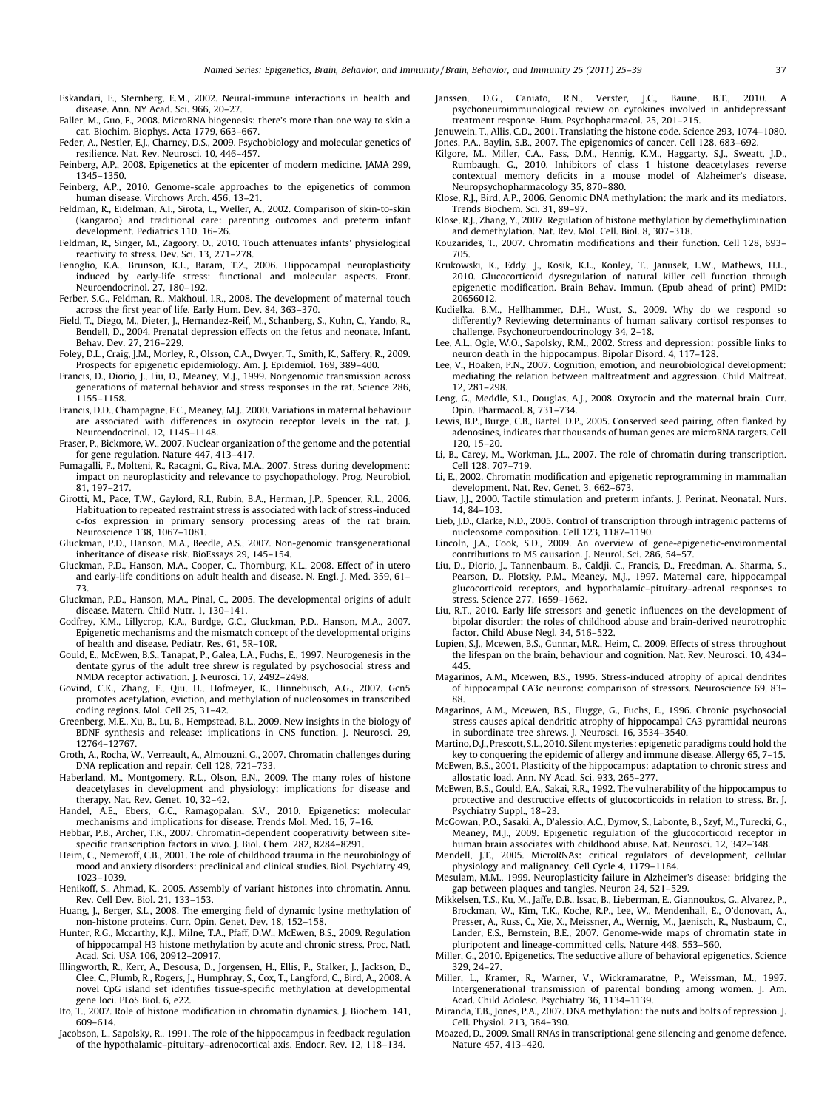- <span id="page-12-0"></span>Eskandari, F., Sternberg, E.M., 2002. Neural-immune interactions in health and disease. Ann. NY Acad. Sci. 966, 20–27.
- Faller, M., Guo, F., 2008. MicroRNA biogenesis: there's more than one way to skin a cat. Biochim. Biophys. Acta 1779, 663–667.
- Feder, A., Nestler, E.J., Charney, D.S., 2009. Psychobiology and molecular genetics of resilience. Nat. Rev. Neurosci. 10, 446–457.
- Feinberg, A.P., 2008. Epigenetics at the epicenter of modern medicine. JAMA 299, 1345–1350.
- Feinberg, A.P., 2010. Genome-scale approaches to the epigenetics of common human disease. Virchows Arch. 456, 13–21.
- Feldman, R., Eidelman, A.I., Sirota, L., Weller, A., 2002. Comparison of skin-to-skin (kangaroo) and traditional care: parenting outcomes and preterm infant development. Pediatrics 110, 16–26.
- Feldman, R., Singer, M., Zagoory, O., 2010. Touch attenuates infants' physiological reactivity to stress. Dev. Sci. 13, 271–278.
- Fenoglio, K.A., Brunson, K.L., Baram, T.Z., 2006. Hippocampal neuroplasticity induced by early-life stress: functional and molecular aspects. Front. Neuroendocrinol. 27, 180–192.
- Ferber, S.G., Feldman, R., Makhoul, I.R., 2008. The development of maternal touch across the first year of life. Early Hum. Dev. 84, 363–370.
- Field, T., Diego, M., Dieter, J., Hernandez-Reif, M., Schanberg, S., Kuhn, C., Yando, R., Bendell, D., 2004. Prenatal depression effects on the fetus and neonate. Infant. Behav. Dev. 27, 216–229.
- Foley, D.L., Craig, J.M., Morley, R., Olsson, C.A., Dwyer, T., Smith, K., Saffery, R., 2009. Prospects for epigenetic epidemiology. Am. J. Epidemiol. 169, 389–400.
- Francis, D., Diorio, J., Liu, D., Meaney, M.J., 1999. Nongenomic transmission across generations of maternal behavior and stress responses in the rat. Science 286, 1155–1158.
- Francis, D.D., Champagne, F.C., Meaney, M.J., 2000. Variations in maternal behaviour are associated with differences in oxytocin receptor levels in the rat. J. Neuroendocrinol. 12, 1145–1148.
- Fraser, P., Bickmore, W., 2007. Nuclear organization of the genome and the potential for gene regulation. Nature 447, 413–417.
- Fumagalli, F., Molteni, R., Racagni, G., Riva, M.A., 2007. Stress during development: impact on neuroplasticity and relevance to psychopathology. Prog. Neurobiol. 81, 197–217.
- Girotti, M., Pace, T.W., Gaylord, R.I., Rubin, B.A., Herman, J.P., Spencer, R.L., 2006. Habituation to repeated restraint stress is associated with lack of stress-induced c-fos expression in primary sensory processing areas of the rat brain. Neuroscience 138, 1067–1081.
- Gluckman, P.D., Hanson, M.A., Beedle, A.S., 2007. Non-genomic transgenerational inheritance of disease risk. BioEssays 29, 145–154.
- Gluckman, P.D., Hanson, M.A., Cooper, C., Thornburg, K.L., 2008. Effect of in utero and early-life conditions on adult health and disease. N. Engl. J. Med. 359, 61– 73.
- Gluckman, P.D., Hanson, M.A., Pinal, C., 2005. The developmental origins of adult disease. Matern. Child Nutr. 1, 130–141.
- Godfrey, K.M., Lillycrop, K.A., Burdge, G.C., Gluckman, P.D., Hanson, M.A., 2007. Epigenetic mechanisms and the mismatch concept of the developmental origins of health and disease. Pediatr. Res. 61, 5R–10R.
- Gould, E., McEwen, B.S., Tanapat, P., Galea, L.A., Fuchs, E., 1997. Neurogenesis in the dentate gyrus of the adult tree shrew is regulated by psychosocial stress and NMDA receptor activation. J. Neurosci. 17, 2492–2498.
- Govind, C.K., Zhang, F., Qiu, H., Hofmeyer, K., Hinnebusch, A.G., 2007. Gcn5 promotes acetylation, eviction, and methylation of nucleosomes in transcribed coding regions. Mol. Cell 25, 31–42.
- Greenberg, M.E., Xu, B., Lu, B., Hempstead, B.L., 2009. New insights in the biology of BDNF synthesis and release: implications in CNS function. J. Neurosci. 29, 12764–12767.
- Groth, A., Rocha, W., Verreault, A., Almouzni, G., 2007. Chromatin challenges during DNA replication and repair. Cell 128, 721–733.
- Haberland, M., Montgomery, R.L., Olson, E.N., 2009. The many roles of histone deacetylases in development and physiology: implications for disease and therapy. Nat. Rev. Genet. 10, 32–42.
- Handel, A.E., Ebers, G.C., Ramagopalan, S.V., 2010. Epigenetics: molecular mechanisms and implications for disease. Trends Mol. Med. 16, 7–16.
- Hebbar, P.B., Archer, T.K., 2007. Chromatin-dependent cooperativity between sitespecific transcription factors in vivo. J. Biol. Chem. 282, 8284–8291.
- Heim, C., Nemeroff, C.B., 2001. The role of childhood trauma in the neurobiology of mood and anxiety disorders: preclinical and clinical studies. Biol. Psychiatry 49, 1023–1039.
- Henikoff, S., Ahmad, K., 2005. Assembly of variant histones into chromatin. Annu. Rev. Cell Dev. Biol. 21, 133–153.
- Huang, J., Berger, S.L., 2008. The emerging field of dynamic lysine methylation of
- non-histone proteins. Curr. Opin. Genet. Dev. 18, 152–158. Hunter, R.G., Mccarthy, K.J., Milne, T.A., Pfaff, D.W., McEwen, B.S., 2009. Regulation of hippocampal H3 histone methylation by acute and chronic stress. Proc. Natl. Acad. Sci. USA 106, 20912–20917.
- Illingworth, R., Kerr, A., Desousa, D., Jorgensen, H., Ellis, P., Stalker, J., Jackson, D., Clee, C., Plumb, R., Rogers, J., Humphray, S., Cox, T., Langford, C., Bird, A., 2008. A novel CpG island set identifies tissue-specific methylation at developmental gene loci. PLoS Biol. 6, e22.
- Ito, T., 2007. Role of histone modification in chromatin dynamics. J. Biochem. 141, 609–614.
- Jacobson, L., Sapolsky, R., 1991. The role of the hippocampus in feedback regulation of the hypothalamic–pituitary–adrenocortical axis. Endocr. Rev. 12, 118–134.
- Janssen, D.G., Caniato, R.N., Verster, J.C., Baune, B.T., 2010. A psychoneuroimmunological review on cytokines involved in antidepressant treatment response. Hum. Psychopharmacol. 25, 201–215.
- Jenuwein, T., Allis, C.D., 2001. Translating the histone code. Science 293, 1074–1080.
- Jones, P.A., Baylin, S.B., 2007. The epigenomics of cancer. Cell 128, 683–692.
- Kilgore, M., Miller, C.A., Fass, D.M., Hennig, K.M., Haggarty, S.J., Sweatt, J.D., Rumbaugh, G., 2010. Inhibitors of class 1 histone deacetylases reverse contextual memory deficits in a mouse model of Alzheimer's disease. Neuropsychopharmacology 35, 870–880.
- Klose, R.J., Bird, A.P., 2006. Genomic DNA methylation: the mark and its mediators. Trends Biochem. Sci. 31, 89–97.
- Klose, R.J., Zhang, Y., 2007. Regulation of histone methylation by demethylimination and demethylation. Nat. Rev. Mol. Cell. Biol. 8, 307–318.
- Kouzarides, T., 2007. Chromatin modifications and their function. Cell 128, 693– 705.
- Krukowski, K., Eddy, J., Kosik, K.L., Konley, T., Janusek, L.W., Mathews, H.L., 2010. Glucocorticoid dysregulation of natural killer cell function through epigenetic modification. Brain Behav. Immun. (Epub ahead of print) PMID: 20656012.
- Kudielka, B.M., Hellhammer, D.H., Wust, S., 2009. Why do we respond so differently? Reviewing determinants of human salivary cortisol responses to challenge. Psychoneuroendocrinology 34, 2–18.
- Lee, A.L., Ogle, W.O., Sapolsky, R.M., 2002. Stress and depression: possible links to neuron death in the hippocampus. Bipolar Disord. 4, 117–128.
- Lee, V., Hoaken, P.N., 2007. Cognition, emotion, and neurobiological development: mediating the relation between maltreatment and aggression. Child Maltreat. 12, 281–298.
- Leng, G., Meddle, S.L., Douglas, A.J., 2008. Oxytocin and the maternal brain. Curr. Opin. Pharmacol. 8, 731–734.
- Lewis, B.P., Burge, C.B., Bartel, D.P., 2005. Conserved seed pairing, often flanked by adenosines, indicates that thousands of human genes are microRNA targets. Cell 120, 15–20.
- Li, B., Carey, M., Workman, J.L., 2007. The role of chromatin during transcription. Cell 128, 707–719.
- Li, E., 2002. Chromatin modification and epigenetic reprogramming in mammalian development. Nat. Rev. Genet. 3, 662–673.
- Liaw, J.J., 2000. Tactile stimulation and preterm infants. J. Perinat. Neonatal. Nurs. 14, 84–103.
- Lieb, J.D., Clarke, N.D., 2005. Control of transcription through intragenic patterns of nucleosome composition. Cell 123, 1187–1190.
- Lincoln, J.A., Cook, S.D., 2009. An overview of gene-epigenetic-environmental contributions to MS causation. J. Neurol. Sci. 286, 54–57.
- Liu, D., Diorio, J., Tannenbaum, B., Caldji, C., Francis, D., Freedman, A., Sharma, S., Pearson, D., Plotsky, P.M., Meaney, M.J., 1997. Maternal care, hippocampal glucocorticoid receptors, and hypothalamic–pituitary–adrenal responses to stress. Science 277, 1659–1662.
- Liu, R.T., 2010. Early life stressors and genetic influences on the development of bipolar disorder: the roles of childhood abuse and brain-derived neurotrophic factor. Child Abuse Negl. 34, 516–522.
- Lupien, S.J., Mcewen, B.S., Gunnar, M.R., Heim, C., 2009. Effects of stress throughout the lifespan on the brain, behaviour and cognition. Nat. Rev. Neurosci. 10, 434– 445.
- Magarinos, A.M., Mcewen, B.S., 1995. Stress-induced atrophy of apical dendrites of hippocampal CA3c neurons: comparison of stressors. Neuroscience 69, 83– 88.
- Magarinos, A.M., Mcewen, B.S., Flugge, G., Fuchs, E., 1996. Chronic psychosocial stress causes apical dendritic atrophy of hippocampal CA3 pyramidal neurons in subordinate tree shrews. J. Neurosci. 16, 3534–3540.
- Martino, D.J., Prescott, S.L., 2010. Silent mysteries: epigenetic paradigms could hold the key to conquering the epidemic of allergy and immune disease. Allergy 65, 7–15.
- McEwen, B.S., 2001. Plasticity of the hippocampus: adaptation to chronic stress and allostatic load. Ann. NY Acad. Sci. 933, 265–277.
- McEwen, B.S., Gould, E.A., Sakai, R.R., 1992. The vulnerability of the hippocampus to protective and destructive effects of glucocorticoids in relation to stress. Br. J. Psychiatry Suppl., 18–23.
- McGowan, P.O., Sasaki, A., D'alessio, A.C., Dymov, S., Labonte, B., Szyf, M., Turecki, G., Meaney, M.J., 2009. Epigenetic regulation of the glucocorticoid receptor in human brain associates with childhood abuse. Nat. Neurosci. 12, 342–348.
- Mendell, J.T., 2005. MicroRNAs: critical regulators of development, cellular physiology and malignancy. Cell Cycle 4, 1179–1184.
- Mesulam, M.M., 1999. Neuroplasticity failure in Alzheimer's disease: bridging the gap between plaques and tangles. Neuron 24, 521–529.
- Mikkelsen, T.S., Ku, M., Jaffe, D.B., Issac, B., Lieberman, E., Giannoukos, G., Alvarez, P., Brockman, W., Kim, T.K., Koche, R.P., Lee, W., Mendenhall, E., O'donovan, A., Presser, A., Russ, C., Xie, X., Meissner, A., Wernig, M., Jaenisch, R., Nusbaum, C., Lander, E.S., Bernstein, B.E., 2007. Genome-wide maps of chromatin state in pluripotent and lineage-committed cells. Nature 448, 553–560.
- Miller, G., 2010. Epigenetics. The seductive allure of behavioral epigenetics. Science 329, 24–27.
- Miller, L., Kramer, R., Warner, V., Wickramaratne, P., Weissman, M., 1997. Intergenerational transmission of parental bonding among women. J. Am. Acad. Child Adolesc. Psychiatry 36, 1134–1139.
- Miranda, T.B., Jones, P.A., 2007. DNA methylation: the nuts and bolts of repression. J. Cell. Physiol. 213, 384–390.
- Moazed, D., 2009. Small RNAs in transcriptional gene silencing and genome defence. Nature 457, 413–420.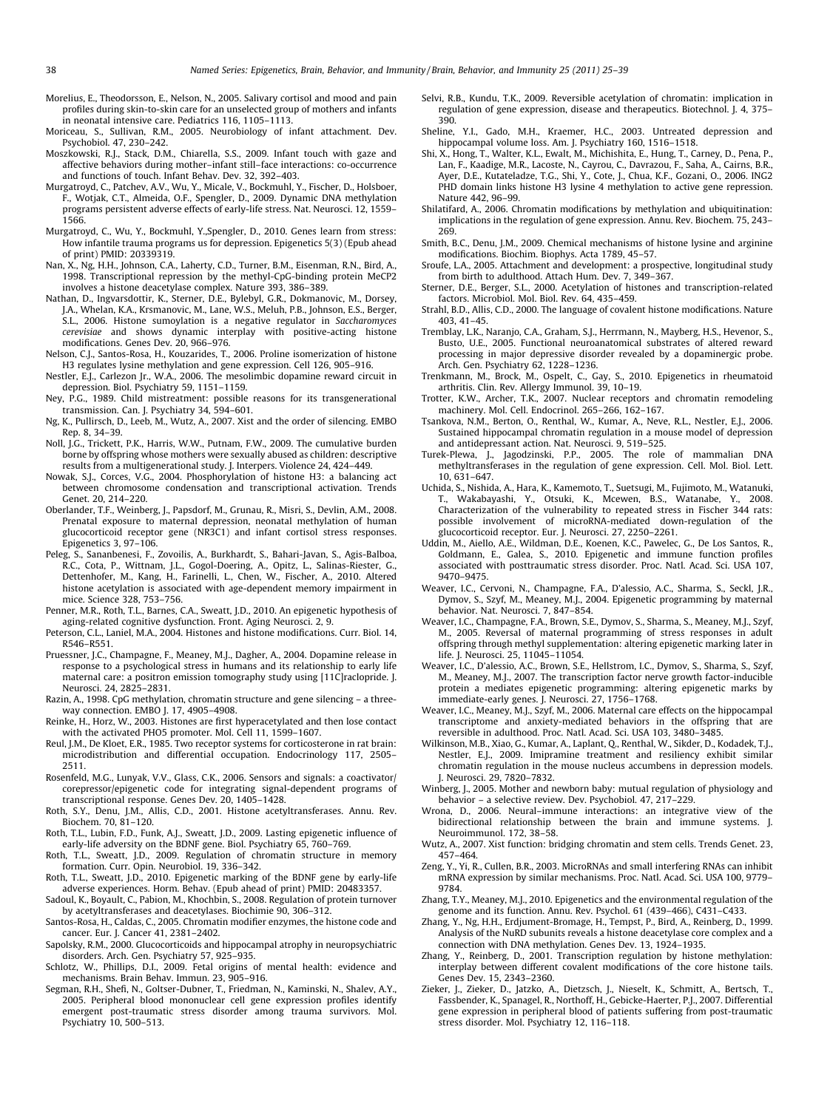- <span id="page-13-0"></span>Morelius, E., Theodorsson, E., Nelson, N., 2005. Salivary cortisol and mood and pain profiles during skin-to-skin care for an unselected group of mothers and infants in neonatal intensive care. Pediatrics 116, 1105–1113.
- Moriceau, S., Sullivan, R.M., 2005. Neurobiology of infant attachment. Dev. Psychobiol. 47, 230–242.
- Moszkowski, R.J., Stack, D.M., Chiarella, S.S., 2009. Infant touch with gaze and affective behaviors during mother–infant still–face interactions: co-occurrence and functions of touch. Infant Behav. Dev. 32, 392–403.
- Murgatroyd, C., Patchev, A.V., Wu, Y., Micale, V., Bockmuhl, Y., Fischer, D., Holsboer, F., Wotjak, C.T., Almeida, O.F., Spengler, D., 2009. Dynamic DNA methylation programs persistent adverse effects of early-life stress. Nat. Neurosci. 12, 1559– 1566.
- Murgatroyd, C., Wu, Y., Bockmuhl, Y.,Spengler, D., 2010. Genes learn from stress: How infantile trauma programs us for depression. Epigenetics 5(3) (Epub ahead of print) PMID: 20339319.
- Nan, X., Ng, H.H., Johnson, C.A., Laherty, C.D., Turner, B.M., Eisenman, R.N., Bird, A., 1998. Transcriptional repression by the methyl-CpG-binding protein MeCP2 involves a histone deacetylase complex. Nature 393, 386–389.
- Nathan, D., Ingvarsdottir, K., Sterner, D.E., Bylebyl, G.R., Dokmanovic, M., Dorsey, J.A., Whelan, K.A., Krsmanovic, M., Lane, W.S., Meluh, P.B., Johnson, E.S., Berger, S.L., 2006. Histone sumoylation is a negative regulator in Saccharomyces cerevisiae and shows dynamic interplay with positive-acting histone modifications. Genes Dev. 20, 966-976.
- Nelson, C.J., Santos-Rosa, H., Kouzarides, T., 2006. Proline isomerization of histone H3 regulates lysine methylation and gene expression. Cell 126, 905–916.
- Nestler, E.J., Carlezon Jr., W.A., 2006. The mesolimbic dopamine reward circuit in depression. Biol. Psychiatry 59, 1151–1159.
- Ney, P.G., 1989. Child mistreatment: possible reasons for its transgenerational transmission. Can. J. Psychiatry 34, 594–601.
- Ng, K., Pullirsch, D., Leeb, M., Wutz, A., 2007. Xist and the order of silencing. EMBO Rep. 8, 34–39.
- Noll, J.G., Trickett, P.K., Harris, W.W., Putnam, F.W., 2009. The cumulative burden borne by offspring whose mothers were sexually abused as children: descriptive results from a multigenerational study. J. Interpers. Violence 24, 424–449.
- Nowak, S.J., Corces, V.G., 2004. Phosphorylation of histone H3: a balancing act between chromosome condensation and transcriptional activation. Trends Genet. 20, 214–220.
- Oberlander, T.F., Weinberg, J., Papsdorf, M., Grunau, R., Misri, S., Devlin, A.M., 2008. Prenatal exposure to maternal depression, neonatal methylation of human glucocorticoid receptor gene (NR3C1) and infant cortisol stress responses. Epigenetics 3, 97–106.
- Peleg, S., Sananbenesi, F., Zovoilis, A., Burkhardt, S., Bahari-Javan, S., Agis-Balboa, R.C., Cota, P., Wittnam, J.L., Gogol-Doering, A., Opitz, L., Salinas-Riester, G., Dettenhofer, M., Kang, H., Farinelli, L., Chen, W., Fischer, A., 2010. Altered histone acetylation is associated with age-dependent memory impairment in mice. Science 328, 753–756.
- Penner, M.R., Roth, T.L., Barnes, C.A., Sweatt, J.D., 2010. An epigenetic hypothesis of aging-related cognitive dysfunction. Front. Aging Neurosci. 2, 9.
- Peterson, C.L., Laniel, M.A., 2004. Histones and histone modifications. Curr. Biol. 14, R546–R551.
- Pruessner, J.C., Champagne, F., Meaney, M.J., Dagher, A., 2004. Dopamine release in response to a psychological stress in humans and its relationship to early life maternal care: a positron emission tomography study using [11C]raclopride. J. Neurosci. 24, 2825–2831.
- Razin, A., 1998. CpG methylation, chromatin structure and gene silencing a threeway connection. EMBO J. 17, 4905–4908.
- Reinke, H., Horz, W., 2003. Histones are first hyperacetylated and then lose contact with the activated PHO5 promoter. Mol. Cell 11, 1599–1607.
- Reul, J.M., De Kloet, E.R., 1985. Two receptor systems for corticosterone in rat brain: microdistribution and differential occupation. Endocrinology 117, 2505– 2511.
- Rosenfeld, M.G., Lunyak, V.V., Glass, C.K., 2006. Sensors and signals: a coactivator/ corepressor/epigenetic code for integrating signal-dependent programs of transcriptional response. Genes Dev. 20, 1405–1428.
- Roth, S.Y., Denu, J.M., Allis, C.D., 2001. Histone acetyltransferases. Annu. Rev. Biochem. 70, 81–120.
- Roth, T.L., Lubin, F.D., Funk, A.J., Sweatt, J.D., 2009. Lasting epigenetic influence of early-life adversity on the BDNF gene. Biol. Psychiatry 65, 760–769.
- Roth, T.L., Sweatt, J.D., 2009. Regulation of chromatin structure in memory formation. Curr. Opin. Neurobiol. 19, 336–342.
- Roth, T.L., Sweatt, J.D., 2010. Epigenetic marking of the BDNF gene by early-life adverse experiences. Horm. Behav. (Epub ahead of print) PMID: 20483357.
- Sadoul, K., Boyault, C., Pabion, M., Khochbin, S., 2008. Regulation of protein turnover by acetyltransferases and deacetylases. Biochimie 90, 306–312.
- Santos-Rosa, H., Caldas, C., 2005. Chromatin modifier enzymes, the histone code and cancer. Eur. J. Cancer 41, 2381–2402.
- Sapolsky, R.M., 2000. Glucocorticoids and hippocampal atrophy in neuropsychiatric disorders. Arch. Gen. Psychiatry 57, 925–935.
- Schlotz, W., Phillips, D.I., 2009. Fetal origins of mental health: evidence and mechanisms. Brain Behav. Immun. 23, 905–916.
- Segman, R.H., Shefi, N., Goltser-Dubner, T., Friedman, N., Kaminski, N., Shalev, A.Y., 2005. Peripheral blood mononuclear cell gene expression profiles identify emergent post-traumatic stress disorder among trauma survivors. Mol. Psychiatry 10, 500–513.
- Selvi, R.B., Kundu, T.K., 2009. Reversible acetylation of chromatin: implication in regulation of gene expression, disease and therapeutics. Biotechnol. J. 4, 375– 390.
- Sheline, Y.I., Gado, M.H., Kraemer, H.C., 2003. Untreated depression and hippocampal volume loss. Am. J. Psychiatry 160, 1516–1518.
- Shi, X., Hong, T., Walter, K.L., Ewalt, M., Michishita, E., Hung, T., Carney, D., Pena, P., Lan, F., Kaadige, M.R., Lacoste, N., Cayrou, C., Davrazou, F., Saha, A., Cairns, B.R., Ayer, D.E., Kutateladze, T.G., Shi, Y., Cote, J., Chua, K.F., Gozani, O., 2006. ING2 PHD domain links histone H3 lysine 4 methylation to active gene repression. Nature 442, 96–99.
- Shilatifard, A., 2006. Chromatin modifications by methylation and ubiquitination: implications in the regulation of gene expression. Annu. Rev. Biochem. 75, 243– 269.
- Smith, B.C., Denu, J.M., 2009. Chemical mechanisms of histone lysine and arginine modifications. Biochim. Biophys. Acta 1789, 45–57.
- Sroufe, L.A., 2005. Attachment and development: a prospective, longitudinal study from birth to adulthood. Attach Hum. Dev. 7, 349–367.
- Sterner, D.E., Berger, S.L., 2000. Acetylation of histones and transcription-related factors. Microbiol. Mol. Biol. Rev. 64, 435–459.
- Strahl, B.D., Allis, C.D., 2000. The language of covalent histone modifications. Nature 403, 41–45.
- Tremblay, L.K., Naranjo, C.A., Graham, S.J., Herrmann, N., Mayberg, H.S., Hevenor, S., Busto, U.E., 2005. Functional neuroanatomical substrates of altered reward processing in major depressive disorder revealed by a dopaminergic probe. Arch. Gen. Psychiatry 62, 1228–1236.
- Trenkmann, M., Brock, M., Ospelt, C., Gay, S., 2010. Epigenetics in rheumatoid arthritis. Clin. Rev. Allergy Immunol. 39, 10–19.
- Trotter, K.W., Archer, T.K., 2007. Nuclear receptors and chromatin remodeling machinery. Mol. Cell. Endocrinol. 265–266, 162–167.
- Tsankova, N.M., Berton, O., Renthal, W., Kumar, A., Neve, R.L., Nestler, E.J., 2006. Sustained hippocampal chromatin regulation in a mouse model of depression and antidepressant action. Nat. Neurosci. 9, 519–525.
- Turek-Plewa, J., Jagodzinski, P.P., 2005. The role of mammalian DNA methyltransferases in the regulation of gene expression. Cell. Mol. Biol. Lett. 10, 631–647.
- Uchida, S., Nishida, A., Hara, K., Kamemoto, T., Suetsugi, M., Fujimoto, M., Watanuki, T., Wakabayashi, Y., Otsuki, K., Mcewen, B.S., Watanabe, Y., 2008. Characterization of the vulnerability to repeated stress in Fischer 344 rats: possible involvement of microRNA-mediated down-regulation of the glucocorticoid receptor. Eur. J. Neurosci. 27, 2250–2261.
- Uddin, M., Aiello, A.E., Wildman, D.E., Koenen, K.C., Pawelec, G., De Los Santos, R., Goldmann, E., Galea, S., 2010. Epigenetic and immune function profiles associated with posttraumatic stress disorder. Proc. Natl. Acad. Sci. USA 107, 9470–9475.
- Weaver, I.C., Cervoni, N., Champagne, F.A., D'alessio, A.C., Sharma, S., Seckl, J.R., Dymov, S., Szyf, M., Meaney, M.J., 2004. Epigenetic programming by maternal behavior. Nat. Neurosci. 7, 847–854.
- Weaver, I.C., Champagne, F.A., Brown, S.E., Dymov, S., Sharma, S., Meaney, M.J., Szyf, M., 2005. Reversal of maternal programming of stress responses in adult offspring through methyl supplementation: altering epigenetic marking later in life. J. Neurosci. 25, 11045–11054.
- Weaver, I.C., D'alessio, A.C., Brown, S.E., Hellstrom, I.C., Dymov, S., Sharma, S., Szyf, M., Meaney, M.J., 2007. The transcription factor nerve growth factor-inducible protein a mediates epigenetic programming: altering epigenetic marks by immediate-early genes. J. Neurosci. 27, 1756–1768.
- Weaver, I.C., Meaney, M.J., Szyf, M., 2006. Maternal care effects on the hippocampal transcriptome and anxiety-mediated behaviors in the offspring that are reversible in adulthood. Proc. Natl. Acad. Sci. USA 103, 3480–3485.
- Wilkinson, M.B., Xiao, G., Kumar, A., Laplant, Q., Renthal, W., Sikder, D., Kodadek, T.J., Nestler, E.J., 2009. Imipramine treatment and resiliency exhibit similar chromatin regulation in the mouse nucleus accumbens in depression models. J. Neurosci. 29, 7820–7832.
- Winberg, J., 2005. Mother and newborn baby: mutual regulation of physiology and behavior – a selective review. Dev. Psychobiol. 47, 217–229.
- Wrona, D., 2006. Neural–immune interactions: an integrative view of the bidirectional relationship between the brain and immune systems. J. Neuroimmunol. 172, 38–58.
- Wutz, A., 2007. Xist function: bridging chromatin and stem cells. Trends Genet. 23, 457–464.
- Zeng, Y., Yi, R., Cullen, B.R., 2003. MicroRNAs and small interfering RNAs can inhibit mRNA expression by similar mechanisms. Proc. Natl. Acad. Sci. USA 100, 9779– 9784.
- Zhang, T.Y., Meaney, M.J., 2010. Epigenetics and the environmental regulation of the genome and its function. Annu. Rev. Psychol. 61 (439–466), C431–C433.
- Zhang, Y., Ng, H.H., Erdjument-Bromage, H., Tempst, P., Bird, A., Reinberg, D., 1999. Analysis of the NuRD subunits reveals a histone deacetylase core complex and a connection with DNA methylation. Genes Dev. 13, 1924–1935.
- Zhang, Y., Reinberg, D., 2001. Transcription regulation by histone methylation: interplay between different covalent modifications of the core histone tails. Genes Dev. 15, 2343–2360.
- Zieker, J., Zieker, D., Jatzko, A., Dietzsch, J., Nieselt, K., Schmitt, A., Bertsch, T., Fassbender, K., Spanagel, R., Northoff, H., Gebicke-Haerter, P.J., 2007. Differential gene expression in peripheral blood of patients suffering from post-traumatic stress disorder. Mol. Psychiatry 12, 116–118.